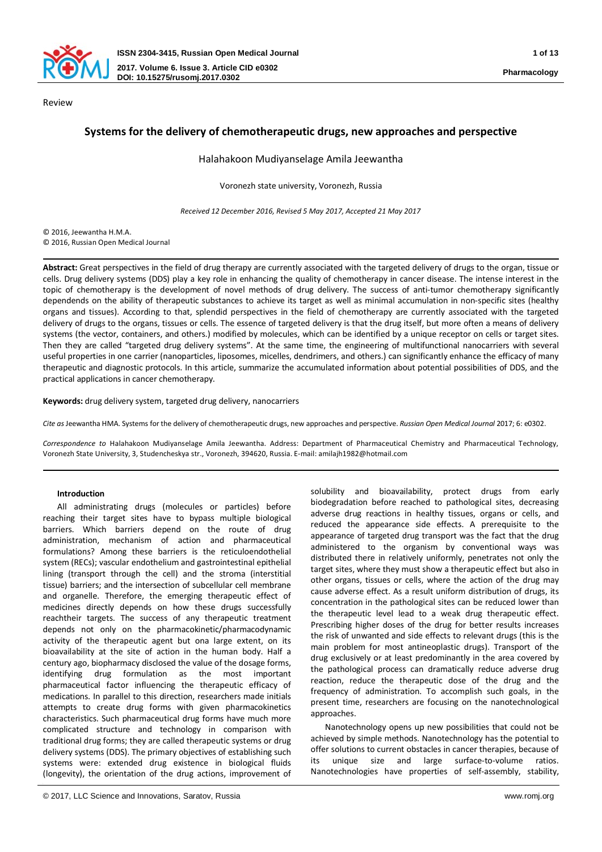

# **Systems for the delivery of chemotherapeutic drugs, new approaches and perspective**

#### Halahakoon Mudiyanselage Amila Jeewantha

Voronezh state university, Voronezh, Russia

*Received 12 December 2016, Revised 5 May 2017, Accepted 21 May 2017*

© 2016, Jeewantha H.M.A. © 2016, Russian Open Medical Journal

**Abstract:** Great perspectives in the field of drug therapy are currently associated with the targeted delivery of drugs to the organ, tissue or cells. Drug delivery systems (DDS) play a key role in enhancing the quality of chemotherapy in cancer disease. The intense interest in the topic of chemotherapy is the development of novel methods of drug delivery. The success of anti-tumor chemotherapy significantly dependends on the ability of therapeutic substances to achieve its target as well as minimal accumulation in non-specific sites (healthy organs and tissues). According to that, splendid perspectives in the field of chemotherapy are currently associated with the targeted delivery of drugs to the organs, tissues or cells. The essence of targeted delivery is that the drug itself, but more often a means of delivery systems (the vector, containers, and others.) modified by molecules, which can be identified by a unique receptor on cells or target sites. Then they are called "targeted drug delivery systems". At the same time, the engineering of multifunctional nanocarriers with several useful properties in one carrier (nanoparticles, liposomes, micelles, dendrimers, and others.) can significantly enhance the efficacy of many therapeutic and diagnostic protocols. In this article, summarize the accumulated information about potential possibilities of DDS, and the practical applications in cancer chemotherapy.

**Keywords:** drug delivery system, targeted drug delivery, nanocarriers

*Cite as*Jeewantha HMA. Systems for the delivery of chemotherapeutic drugs, new approaches and perspective. *Russian Open Medical Journal* 2017; 6: e0302.

*Correspondence to* Halahakoon Mudiyanselage Amila Jeewantha. Address: Department of Pharmaceutical Chemistry and Pharmaceutical Technology, Voronezh State University, 3, Studencheskya str., Voronezh, 394620, Russia. E-mail: amilajh1982@hotmail.com

### **Introduction**

All administrating drugs (molecules or particles) before reaching their target sites have to bypass multiple biological barriers. Which barriers depend on the route of drug administration, mechanism of action and pharmaceutical formulations? Among these barriers is the reticuloendothelial system (RECs); vascular endothelium and gastrointestinal epithelial lining (transport through the cell) and the stroma (interstitial tissue) barriers; and the intersection of subcellular cell membrane and organelle. Therefore, the emerging therapeutic effect of medicines directly depends on how these drugs successfully reachtheir targets. The success of any therapeutic treatment depends not only on the pharmacokinetic/pharmacodynamic activity of the therapeutic agent but ona large extent, on its bioavailability at the site of action in the human body. Half a century ago, biopharmacy disclosed the value of the dosage forms, identifying drug formulation as the most important pharmaceutical factor influencing the therapeutic efficacy of medications. In parallel to this direction, researchers made initials attempts to create drug forms with given pharmacokinetics characteristics. Such pharmaceutical drug forms have much more complicated structure and technology in comparison with traditional drug forms; they are called therapeutic systems or drug delivery systems (DDS). The primary objectives of establishing such systems were: extended drug existence in biological fluids (longevity), the orientation of the drug actions, improvement of

solubility and bioavailability, protect drugs from early biodegradation before reached to pathological sites, decreasing adverse drug reactions in healthy tissues, organs or cells, and reduced the appearance side effects. A prerequisite to the appearance of targeted drug transport was the fact that the drug administered to the organism by conventional ways was distributed there in relatively uniformly, penetrates not only the target sites, where they must show a therapeutic effect but also in other organs, tissues or cells, where the action of the drug may cause adverse effect. As a result uniform distribution of drugs, its concentration in the pathological sites can be reduced lower than the therapeutic level lead to a weak drug therapeutic effect. Prescribing higher doses of the drug for better results increases the risk of unwanted and side effects to relevant drugs (this is the main problem for most antineoplastic drugs). Transport of the drug exclusively or at least predominantly in the area covered by the pathological process can dramatically reduce adverse drug reaction, reduce the therapeutic dose of the drug and the frequency of administration. To accomplish such goals, in the present time, researchers are focusing on the nanotechnological approaches.

Nanotechnology opens up new possibilities that could not be achieved by simple methods. Nanotechnology has the potential to offer solutions to current obstacles in cancer therapies, because of its unique size and large surface-to-volume ratios. Nanotechnologies have properties of self-assembly, stability,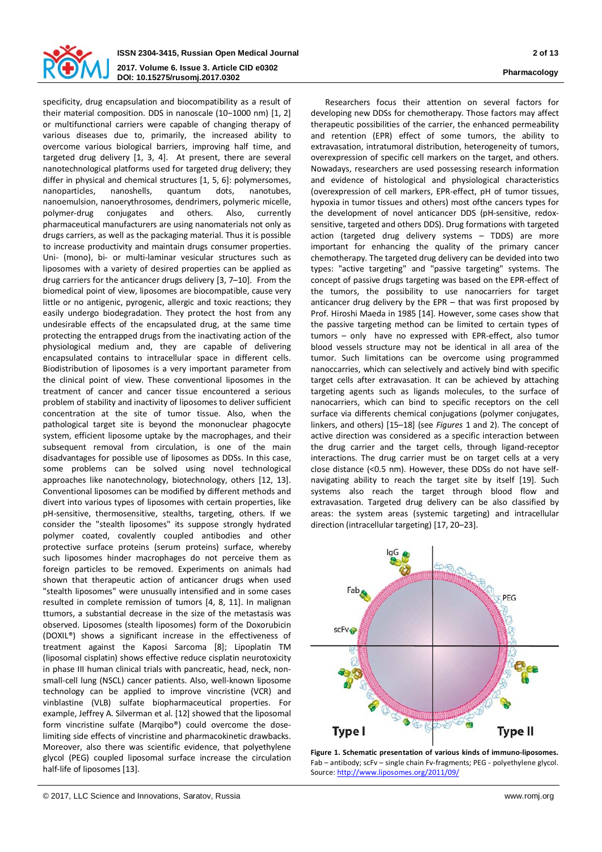

**ISSN 2304-3415, Russian Open Medical Journal 2 of 13 2017. Volume 6. Issue 3. Article CID e0302 DOI: 10.15275/rusomj.2017.0302 Pharmacology**

specificity, drug encapsulation and biocompatibility as a result of their material composition. DDS in nanoscale (10−1000 nm) [1, 2] or multifunctional carriers were capable of changing therapy of various diseases due to, primarily, the increased ability to overcome various biological barriers, improving half time, and targeted drug delivery [1, 3, 4]. At present, there are several nanotechnological platforms used for targeted drug delivery; they differ in physical and chemical structures [1, 5, 6]: polymersomes, nanoparticles, nanoshells, quantum dots, nanotubes, nanoemulsion, nanoerythrosomes, dendrimers, polymeric micelle, polymer-drug conjugates and others. Also, currently pharmaceutical manufacturers are using nanomaterials not only as drugs carriers, as well as the packaging material. Thus it is possible to increase productivity and maintain drugs consumer properties. Uni- (mono), bi- or multi-laminar vesicular structures such as liposomes with a variety of desired properties can be applied as drug carriers for the anticancer drugs delivery [3, 7–10]. From the biomedical point of view, liposomes are biocompatible, cause very little or no antigenic, pyrogenic, allergic and toxic reactions; they easily undergo biodegradation. They protect the host from any undesirable effects of the encapsulated drug, at the same time protecting the entrapped drugs from the inactivating action of the physiological medium and, they are capable of delivering encapsulated contains to intracellular space in different cells. Biodistribution of liposomes is a very important parameter from the clinical point of view. These conventional liposomes in the treatment of cancer and cancer tissue encountered a serious problem of stability and inactivity of liposomes to deliver sufficient concentration at the site of tumor tissue. Also, when the pathological target site is beyond the mononuclear phagocyte system, efficient liposome uptake by the macrophages, and their subsequent removal from circulation, is one of the main disadvantages for possible use of liposomes as DDSs. In this case, some problems can be solved using novel technological approaches like nanotechnology, biotechnology, others [12, 13]. Conventional liposomes can be modified by different methods and divert into various types of liposomes with certain properties, like pH-sensitive, thermosensitive, stealths, targeting, others. If we consider the "stealth liposomes" its suppose strongly hydrated polymer coated, covalently coupled antibodies and other protective surface proteins (serum proteins) surface, whereby such liposomes hinder macrophages do not perceive them as foreign particles to be removed. Experiments on animals had shown that therapeutic action of anticancer drugs when used "stealth liposomes" were unusually intensified and in some cases resulted in complete remission of tumors [4, 8, 11]. In malignan ttumors, a substantial decrease in the size of the metastasis was observed. Liposomes (stealth liposomes) form of the Doxorubicin (DOXIL®) shows a significant increase in the effectiveness of treatment against the Kaposi Sarcoma [8]; Lipoplatin TM (liposomal cisplatin) shows effective reduce cisplatin neurotoxicity in phase III human clinical trials with pancreatic, head, neck, nonsmall-cell lung (NSCL) cancer patients. Also, well-known liposome technology can be applied to improve vincristine (VCR) and vinblastine (VLB) sulfate biopharmaceutical properties. For example, Jeffrey A. Silverman et al. [12] showed that the liposomal form vincristine sulfate (Marqibo®) could overcome the doselimiting side effects of vincristine and pharmacokinetic drawbacks. Moreover, also there was scientific evidence, that polyethylene glycol (PEG) coupled liposomal surface increase the circulation half-life of liposomes [13].

Researchers focus their attention on several factors for developing new DDSs for chemotherapy. Those factors may affect therapeutic possibilities of the carrier, the enhanced permeability and retention (EPR) effect of some tumors, the ability to extravasation, intratumoral distribution, heterogeneity of tumors, overexpression of specific cell markers on the target, and others. Nowadays, researchers are used possessing research information and evidence of histological and physiological characteristics (overexpression of cell markers, EPR-effect, pH of tumor tissues, hypoxia in tumor tissues and others) most ofthe cancers types for the development of novel anticancer DDS (pH-sensitive, redoxsensitive, targeted and others DDS). Drug formations with targeted action (targeted drug delivery systems – TDDS) are more important for enhancing the quality of the primary cancer chemotherapy. The targeted drug delivery can be devided into two types: "active targeting" and "passive targeting" systems. The concept of passive drugs targeting was based on the EPR-effect of the tumors, the possibility to use nanocarriers for target anticancer drug delivery by the EPR – that was first proposed by Prof. Hiroshi Maeda in 1985 [14]. However, some cases show that the passive targeting method can be limited to certain types of tumors – only have no expressed with EPR-effect, also tumor blood vessels structure may not be identical in all area of the tumor. Such limitations can be overcome using programmed nanoсcarries, which can selectively and actively bind with specific target cells after extravasation. It can be achieved by attaching targeting agents such as ligands molecules, to the surface of nanocarriers, which can bind to specific receptors on the cell surface via differents chemical conjugations (polymer conjugates, linkers, and others) [15–18] (see *Figures* 1 and 2). The concept of active direction was considered as a specific interaction between the drug carrier and the target cells, through ligand-receptor interactions. The drug carrier must be on target cells at a very close distance (<0.5 nm). However, these DDSs do not have selfnavigating ability to reach the target site by itself [19]. Such systems also reach the target through blood flow and extravasation. Targeted drug delivery can be also classified by areas: the system areas (systemic targeting) and intracellular direction (intracellular targeting) [17, 20–23].



**Figure 1. Schematic presentation of various kinds of immuno-liposomes.** Fab – antibody; scFv – single chain Fv-fragments; PEG - polyethylene glycol. Source[: http://www.liposomes.org/2011/09/](http://www.liposomes.org/2011/09/)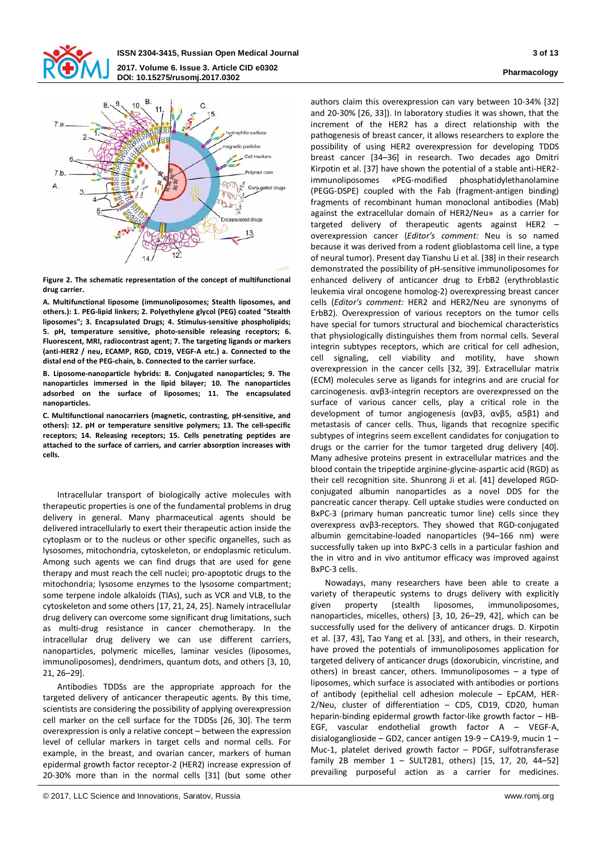



**Figure 2. The schematic representation of the concept of multifunctional drug carrier.**

**A. Multifunctional liposome (immunoliposomes; Stealth liposomes, and others.): 1. PEG-lipid linkers; 2. Polyethylene glycol (PEG) coated "Stealth liposomes"; 3. Encapsulated Drugs; 4. Stimulus-sensitive phospholipids; 5. pH, temperature sensitive, photo-sensible releasing receptors; 6. Fluorescent, MRI, radiocontrast agent; 7. The targeting ligands or markers (anti-HER2 / neu, ECAMP, RGD, CD19, VEGF-A etс.) a. Connected to the distal end of the PEG-chain, b. Connected to the carrier surface.**

**B. Liposome-nanoparticle hybrids: 8. Conjugated nanoparticles; 9. The nanoparticles immersed in the lipid bilayer; 10. The nanoparticles adsorbed on the surface of liposomes; 11. The encapsulated nanoparticles.**

**C. Multifunctional nanocarriers (magnetic, contrasting, pH-sensitive, and others): 12. pH or temperature sensitive polymers; 13. The cell-specific receptors; 14. Releasing receptors; 15. Cells penetrating peptides are attached to the surface of carriers, and carrier absorption increases with cells.**

Intracellular transport of biologically active molecules with therapeutic properties is one of the fundamental problems in drug delivery in general. Many pharmaceutical agents should be delivered intracellularly to exert their therapeutic action inside the cytoplasm or to the nucleus or other specific organelles, such as lysosomes, mitochondria, cytoskeleton, or endoplasmic reticulum. Among such agents we can find drugs that are used for gene therapy and must reach the cell nuclei; pro-apoptotic drugs to the mitochondria; lysosome enzymes to the lysosome compartment; some terpene indole alkaloids (TIAs), such as VCR and VLB, to the cytoskeleton and some others [17, 21, 24, 25]. Namely intracellular drug delivery can overcome some significant drug limitations, such as multi-drug resistance in cancer chemotherapy. In the intracellular drug delivery we can use different carriers, nanoparticles, polymeric micelles, laminar vesicles (liposomes, immunoliposomes), dendrimers, quantum dots, and others [3, 10, 21, 26–29].

Antibodies TDDSs are the appropriate approach for the targeted delivery of anticancer therapeutic agents. By this time, scientists are considering the possibility of applying overexpression cell marker on the cell surface for the TDDSs [26, 30]. The term overexpression is only a relative concept – between the expression level of cellular markers in target cells and normal cells. For example, in the breast, and ovarian cancer, markers of human epidermal growth factor receptor-2 (HER2) increase expression of 20-30% more than in the normal cells [31] (but some other

authors claim this overexpression can vary between 10-34% [32] and 20-30% [26, 33]). In laboratory studies it was shown, that the increment of the HER2 has a direct relationship with the pathogenesis of breast cancer, it allows researchers to explore the possibility of using HER2 overexpression for developing TDDS breast cancer [34–36] in research. Two decades ago Dmitri Kirpotin et al. [37] have shown the potential of a stable anti-HER2 immunoliposomes «PEG-modified phosphatidylethanolamine (PEGG-DSPE) coupled with the Fab (fragment-antigen binding) fragments of recombinant human monoclonal antibodies (Mab) against the extracellular domain of HER2/Neu» as a carrier for targeted delivery of therapeutic agents against HER2 – overexpression cancer (*Editor's comment:* Neu is so named because it was derived from a rodent glioblastoma cell line, a type of neural tumor). Present day Tianshu Li et al. [38] in their research demonstrated the possibility of pH-sensitive immunoliposomes for enhanced delivery of anticancer drug to ErbB2 (erythroblastic leukemia viral oncogene homolog-2) overexpressing breast cancer cells (*Editor's comment:* HER2 and HER2/Neu are synonyms of ErbB2). Overexpression of various receptors on the tumor cells have special for tumors structural and biochemical characteristics that physiologically distinguishes them from normal cells. Several integrin subtypes receptors, which are critical for cell adhesion, cell signaling, cell viability and motility, have shown overexpression in the cancer cells [32, 39]. Extracellular matrix (ECM) molecules serve as ligands for integrins and are crucial for carcinogenesis. αvβ3-integrin receptors are overexpressed on the surface of various cancer cells, play a critical role in the development of tumor angiogenesis (αvβ3, αvβ5, α5β1) and metastasis of cancer cells. Thus, ligands that recognize specific subtypes of integrins seem excellent candidates for conjugation to drugs or the carrier for the tumor targeted drug delivery [40]. Many adhesive proteins present in extracellular matrices and the blood contain the tripeptide arginine-glycine-aspartic acid (RGD) as their cell recognition site. Shunrong Ji et al. [41] developed RGDconjugated albumin nanoparticles as a novel DDS for the pancreatic cancer therapy. Сell uptake studies were conducted on BxPC-3 (primary human pancreatic tumor line) cells since they overexpress αvβ3-receptors. They showed that RGD-conjugated albumin gemcitabine-loaded nanoparticles (94–166 nm) were successfully taken up into BxPC-3 cells in a particular fashion and the in vitro and in vivo antitumor efficacy was improved against BxPC-3 cells.

Nowadays, many researchers have been able to create a variety of therapeutic systems to drugs delivery with explicitly given property (stealth liposomes, immunoliposomes, nanoparticles, micelles, others) [3, 10, 26–29, 42], which can be successfully used for the delivery of anticancer drugs. D. Kirpotin et al. [37, 43], Tao Yang et al. [33], and others, in their research, have proved the potentials of immunoliposomes application for targeted delivery of anticancer drugs (doxorubicin, vincristine, and others) in breast cancer, others. Immunoliposomes – a type of liposomes, which surface is associated with antibodies or portions of antibody (epithelial cell adhesion molecule – EpCAM, HER-2/Neu, cluster of differentiation – CD5, CD19, CD20, human heparin-binding epidermal growth factor-like growth factor – HB-EGF, vascular endothelial growth factor A – VEGF-A, disialoganglioside – GD2, cancer antigen 19-9 – CA19-9, mucin 1 – Muc-1, platelet derived growth factor – PDGF, sulfotransferase family 2B member 1 – SULT2B1, others) [15, 17, 20, 44–52] prevailing purposeful action as a carrier for medicines.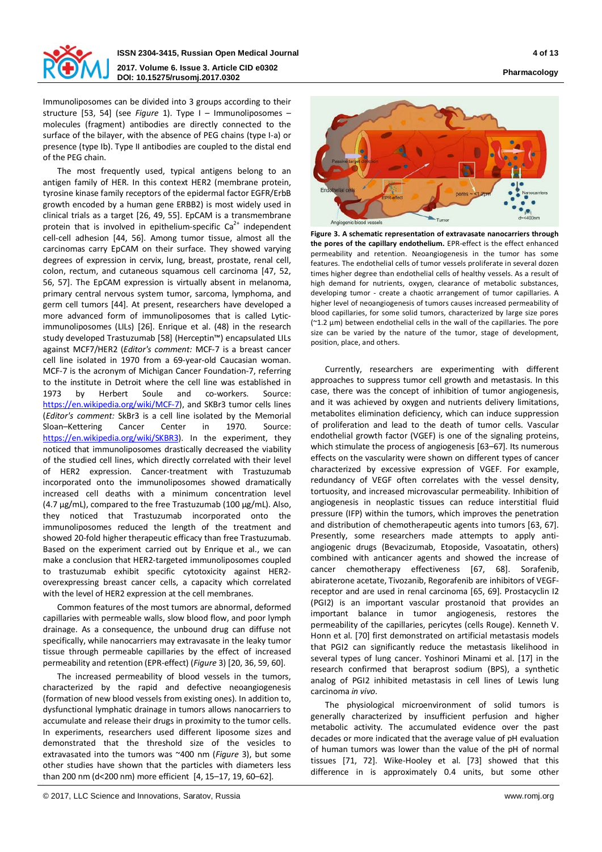

### **ISSN 2304-3415, Russian Open Medical Journal 4 of 13 2017. Volume 6. Issue 3. Article CID e0302 DOI: 10.15275/rusomj.2017.0302 Pharmacology**

Immunoliposomes can be divided into 3 groups according to their structure [53, 54] (see *Figure* 1). Type I – Immunoliposomes – molecules (fragment) antibodies are directly connected to the surface of the bilayer, with the absence of PEG chains (type I-a) or presence (type Ib). Type II antibodies are coupled to the distal end of the PEG chain.

The most frequently used, typical antigens belong to an antigen family of HER. In this context HER2 (membrane protein, tyrosine kinase family receptors of the epidermal factor EGFR/ErbB growth encoded by a human gene ERBB2) is most widely used in clinical trials as a target [26, 49, 55]. EpCAM is a transmembrane protein that is involved in epithelium-specific  $Ca<sup>2+</sup>$  independent cell-cell adhesion [44, 56]. Among tumor tissue, almost all the carcinomas carry EpCAM on their surface. They showed varying degrees of expression in cervix, lung, breast, prostate, renal cell, colon, rectum, and cutaneous squamous cell carcinoma [47, 52, 56, 57]. The EpCAM expression is virtually absent in melanoma, primary central nervous system tumor, sarcoma, lymphoma, and germ cell tumors [44]. At present, researchers have developed a more advanced form of immunoliposomes that is called Lyticimmunoliposomes (LILs) [26]. Enrique et al. (48) in the research study developed Trastuzumab [58] (Herceptin™) encapsulated LILs against MCF7/HER2 (*Editor's comment:* MCF-7 is a breast cancer cell line isolated in 1970 from a 69-year-old Caucasian woman. MCF-7 is the acronym of Michigan Cancer Foundation-7, referring to the institute in Detroit where the cell line was established in 1973 by Herbert Soule and co-workers. Source: [https://en.wikipedia.org/wiki/MCF-7\)](https://en.wikipedia.org/wiki/MCF-7), and SKBr3 tumor cells lines (*Editor's comment:* SkBr3 is a cell line isolated by the Memorial Sloan–Kettering Cancer Center in 1970. Source: [https://en.wikipedia.org/wiki/SKBR3\)](https://en.wikipedia.org/wiki/SKBR3). In the experiment, they noticed that immunoliposomes drastically decreased the viability of the studied cell lines, which directly correlated with their level of HER2 expression. Cancer-treatment with Trastuzumab incorporated onto the immunoliposomes showed dramatically increased cell deaths with a minimum concentration level (4.7 µg/mL), compared to the free Trastuzumab (100 µg/mL). Also, they noticed that Trastuzumab incorporated onto the immunoliposomes reduced the length of the treatment and showed 20-fold higher therapeutic efficacy than free Trastuzumab. Based on the experiment carried out by Enrique et al., we can make a conclusion that HER2-targeted immunoliposomes coupled to trastuzumab exhibit specific cytotoxicity against HER2 overexpressing breast cancer cells, a capacity which correlated with the level of HER2 expression at the cell membranes.

Common features of the most tumors are abnormal, deformed capillaries with permeable walls, slow blood flow, and poor lymph drainage. As a consequence, the unbound drug can diffuse not specifically, while nanocarriers may extravasate in the leaky tumor tissue through permeable capillaries by the effect of increased permeability and retention (EPR-effect) (*Figure* 3) [20, 36, 59, 60].

The increased permeability of blood vessels in the tumors, characterized by the rapid and defective neoangiogenesis (formation of new blood vessels from existing ones). In addition to, dysfunctional lymphatic drainage in tumors allows nanocarriers to accumulate and release their drugs in proximity to the tumor cells. In experiments, researchers used different liposome sizes and demonstrated that the threshold size of the vesicles to extravasated into the tumors was ~400 nm (*Figure* 3), but some other studies have shown that the particles with diameters less than 200 nm (d<200 nm) more efficient [4, 15–17, 19, 60–62].

**Figure 3. A schematic representation of extravasate nanocarriers through the pores of the capillary endothelium.** EPR-effect is the effect enhanced permeability and retention. Neoangiogenesis in the tumor has some features. The endothelial cells of tumor vessels proliferate in several dozen times higher degree than endothelial cells of healthy vessels. As a result of high demand for nutrients, oxygen, clearance of metabolic substances, developing tumor - create a chaotic arrangement of tumor capillaries. A higher level of neoangiogenesis of tumors causes increased permeability of blood capillaries, for some solid tumors, characterized by large size pores (~1.2 µm) between endothelial cells in the wall of the capillaries. The pore size can be varied by the nature of the tumor, stage of development, position, place, and others.

Currently, researchers are experimenting with different approaches to suppress tumor cell growth and metastasis. In this case, there was the concept of inhibition of tumor angiogenesis, and it was achieved by oxygen and nutrients delivery limitations, metabolites elimination deficiency, which can induce suppression of proliferation and lead to the death of tumor cells. Vascular endothelial growth factor (VGEF) is one of the signaling proteins, which stimulate the process of angiogenesis [63–67]. Its numerous effects on the vascularity were shown on different types of cancer characterized by excessive expression of VGEF. For example, redundancy of VEGF often correlates with the vessel density, tortuosity, and increased microvascular permeability. Inhibition of angiogenesis in neoplastic tissues can reduce interstitial fluid pressure (IFP) within the tumors, which improves the penetration and distribution of chemotherapeutic agents into tumors [63, 67]. Presently, some researchers made attempts to apply antiangiogenic drugs (Bevacizumab, Etoposide, Vasoatatin, others) combined with anticancer agents and showed the increase of cancer chemotherapy effectiveness [67, 68]. Sorafenib, abiraterone acetate, Tivozanib, Regorafenib are inhibitors of VEGFreceptor and are used in renal carcinoma [65, 69]. Prostacyclin I2 (PGI2) is an important vascular prostanoid that provides an important balance in tumor angiogenesis, restores the permeability of the capillaries, pericytes (cells Rouge). Kenneth V. Honn et al. [70] first demonstrated on artificial metastasis models that PGI2 can significantly reduce the metastasis likelihood in several types of lung cancer. Yoshinori Minami et al. [17] in the research confirmed that beraprost sodium (BPS), a synthetic analog of PGI2 inhibited metastasis in cell lines of Lewis lung carcinoma *in vivo*.

The physiological microenvironment of solid tumors is generally characterized by insufficient perfusion and higher metabolic activity. The accumulated evidence over the past decades or more indicated that the average value of pH evaluation of human tumors was lower than the value of the pH of normal tissues [71, 72]. Wike-Hooley et al. [73] showed that this difference in is approximately 0.4 units, but some other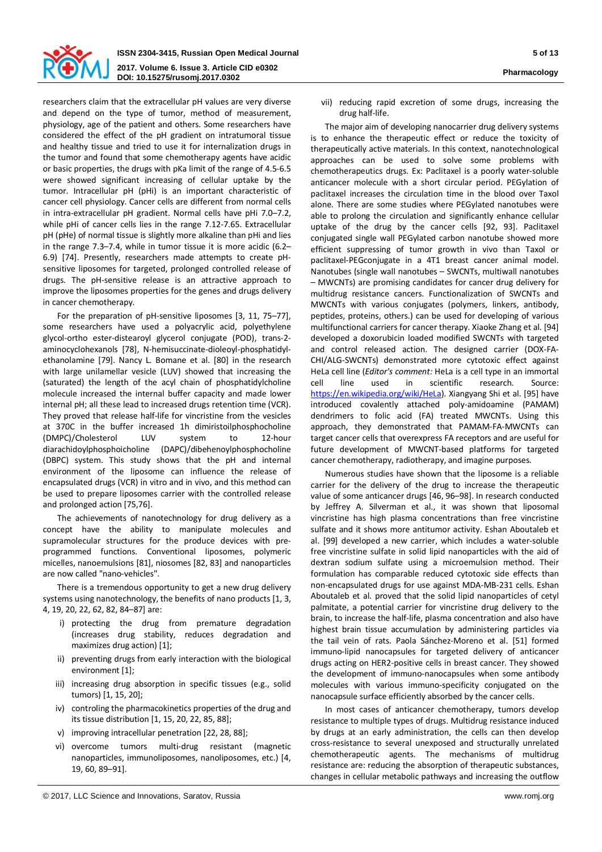

researchers claim that the extracellular pH values are very diverse and depend on the type of tumor, method of measurement, physiology, age of the patient and others. Some researchers have considered the effect of the pH gradient on intratumoral tissue and healthy tissue and tried to use it for internalization drugs in the tumor and found that some chemotherapy agents have acidic or basic properties, the drugs with pKa limit of the range of 4.5-6.5 were showed significant increasing of cellular uptake by the tumor. Intracellular pH (pHi) is an important characteristic of cancer cell physiology. Cancer cells are different from normal cells in intra-extracellular pH gradient. Normal cells have pHi 7.0–7.2, while pHi of cancer cells lies in the range 7.12-7.65. Extracellular pH (pHe) of normal tissue is slightly more alkaline than pHi and lies in the range 7.3–7.4, while in tumor tissue it is more acidic (6.2– 6.9) [74]. Presently, researchers made attempts to create pHsensitive liposomes for targeted, prolonged controlled release of drugs. The pH-sensitive release is an attractive approach to improve the liposomes properties for the genes and drugs delivery in cancer chemotherapy.

For the preparation of pH-sensitive liposomes [3, 11, 75–77], some researchers have used a polyacrylic acid, polyethylene glycol-ortho ester-distearoyl glycerol conjugate (POD), trans-2 aminocyclohexanols [78], N-hemisuccinate-dioleoyl-phosphatidylethanolamine [79]. Nancy L. Bomane et al. [80] in the research with large unilamellar vesicle (LUV) showed that increasing the (saturated) the length of the acyl chain of phosphatidylcholine molecule increased the internal buffer capacity and made lower internal pH; all these lead to increased drugs retention time (VCR). They proved that release half-life for vincristine from the vesicles at 370C in the buffer increased 1h dimiristoilphosphocholine (DMPC)/Cholesterol LUV system to 12-hour diarachidoylphosphoicholine (DAPC)/dibehenoylphosphocholine (DBPC) system. This study shows that the pH and internal environment of the liposome can influence the release of encapsulated drugs (VCR) in vitro and in vivo, and this method can be used to prepare liposomes carrier with the controlled release and prolonged action [75,76].

The achievements of nanotechnology for drug delivery as a concept have the ability to manipulate molecules and supramolecular structures for the produce devices with preprogrammed functions. Conventional liposomes, polymeric micelles, nanoemulsions [81], niosomes [82, 83] and nanoparticles are now called "nano-vehicles".

There is a tremendous opportunity to get a new drug delivery systems using nanotechnology, the benefits of nano products [1, 3, 4, 19, 20, 22, 62, 82, 84–87] are:

- i) protecting the drug from premature degradation (increases drug stability, reduces degradation and maximizes drug action) [1];
- ii) preventing drugs from early interaction with the biological environment [1];
- iii) increasing drug absorption in specific tissues (e.g., solid tumors) [1, 15, 20];
- iv) controling the pharmacokinetics properties of the drug and its tissue distribution [1, 15, 20, 22, 85, 88];
- v) improving intracellular penetration [22, 28, 88];
- vi) overcome tumors multi-drug resistant (magnetic nanoparticles, immunoliposomes, nanoliposomes, etc.) [4, 19, 60, 89–91].

vii) reducing rapid excretion of some drugs, increasing the

The major aim of developing nanocarrier drug delivery systems is to enhance the therapeutic effect or reduce the toxicity of therapeutically active materials. In this context, nanotechnological approaches can be used to solve some problems with chemotherapeutics drugs. Ex: Paclitaxel is a poorly water-soluble anticancer molecule with a short circular period. PEGylation of paclitaxel increases the circulation time in the blood over Taxol alone. There are some studies where PEGylated nanotubes were able to prolong the circulation and significantly enhance cellular uptake of the drug by the cancer cells [92, 93]. Paclitaxel conjugated single wall PEGylated carbon nanotube showed more efficient suppressing of tumor growth in vivo than Taxol or paclitaxel-PEGconjugate in a 4T1 breast cancer animal model. Nanotubes (single wall nanotubes – SWCNTs, multiwall nanotubes – MWCNTs) are promising candidates for cancer drug delivery for multidrug resistance cancers. Functionalization of SWCNTs and MWCNTs with various conjugates (polymers, linkers, antibody, peptides, proteins, others.) can be used for developing of various multifunctional carriers for cancer therapy. Xiaoke Zhang et al. [94] developed a doxorubicin loaded modified SWCNTs with targeted and control released action. The designed carrier (DOX-FA-CHI/ALG-SWCNTs) demonstrated more cytotoxic effect against HeLa cell line (*Editor's comment:* HeLa is a cell type in an immortal cell line used in scientific research. Source: [https://en.wikipedia.org/wiki/HeLa\)](https://en.wikipedia.org/wiki/HeLa). Xiangyang Shi et al. [95] have introduced covalently attached poly-amidoamine (PAMAM) dendrimers to folic acid (FA) treated MWCNTs. Using this approach, they demonstrated that PAMAM-FA-MWCNTs can target cancer cells that overexpress FA receptors and are useful for future development of MWCNT-based platforms for targeted cancer chemotherapy, radiotherapy, and imagine purposes.

drug half-life.

Numerous studies have shown that the liposome is a reliable carrier for the delivery of the drug to increase the therapeutic value of some anticancer drugs [46, 96–98]. In research conducted by Jeffrey A. Silverman et al., it was shown that liposomal vincristine has high plasma concentrations than free vincristine sulfate and it shows more antitumor activity. Eshan Aboutaleb et al. [99] developed a new carrier, which includes a water-soluble free vincristine sulfate in solid lipid nanoparticles with the aid of dextran sodium sulfate using a microemulsion method. Their formulation has comparable reduced cytotoxic side effects than non-encapsulated drugs for use against MDA-MB-231 cells. Eshan Aboutaleb et al. proved that the solid lipid nanoparticles of cetyl palmitate, a potential carrier for vincristine drug delivery to the brain, to increase the half-life, plasma concentration and also have highest brain tissue accumulation by administering particles via the tail vein of rats. Paola Sánchez-Moreno et al. [51] formed immuno-lipid nanocapsules for targeted delivery of anticancer drugs acting on HER2-positive cells in breast cancer. They showed the development of immuno-nanocapsules when some antibody molecules with various immuno-specificity conjugated on the nanocapsule surface efficiently absorbed by the cancer cells.

In most cases of anticancer chemotherapy, tumors develop resistance to multiple types of drugs. Multidrug resistance induced by drugs at an early administration, the cells can then develop cross-resistance to several unexposed and structurally unrelated chemotherapeutic agents. The mechanisms of multidrug resistance are: reducing the absorption of therapeutic substances, changes in cellular metabolic pathways and increasing the outflow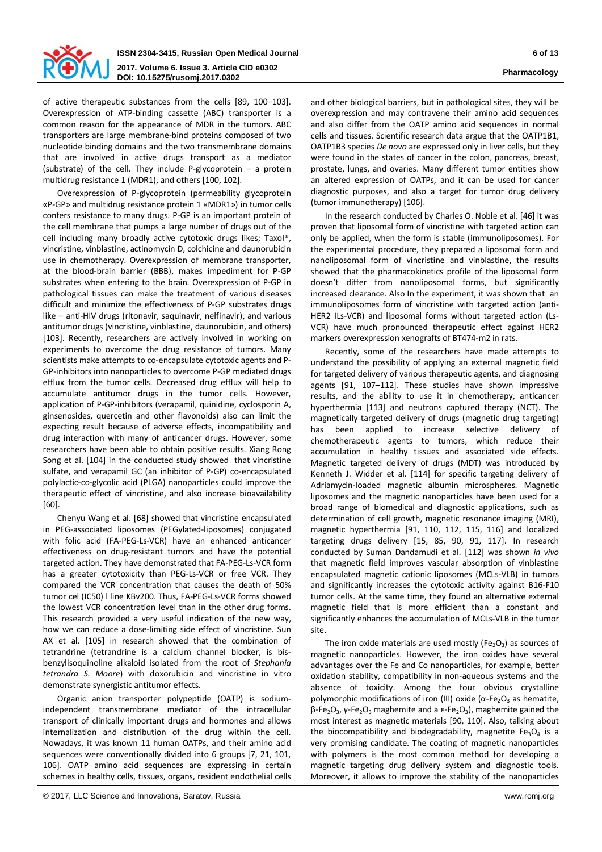

of active therapeutic substances from the cells [89, 100–103]. Overexpression of ATP-binding cassette (ABC) transporter is a common reason for the appearance of MDR in the tumors. ABC transporters are large membrane-bind proteins composed of two nucleotide binding domains and the two transmembrane domains that are involved in active drugs transport as a mediator (substrate) of the cell. They include P-glycoprotein  $-$  a protein multidrug resistance 1 (MDR1), and others [100, 102].

Overexpression of P-glycoprotein (permeability glycoprotein «P-GP» and multidrug resistance protein 1 «MDR1») in tumor cells confers resistance to many drugs. P-GP is an important protein of the cell membrane that pumps a large number of drugs out of the cell including many broadly active cytotoxic drugs likes; Taxol®, vincristine, vinblastine, actinomycin D, colchicine and daunorubicin use in chemotherapy. Overexpression of membrane transporter, at the blood-brain barrier (BBB), makes impediment for P-GP substrates when entering to the brain. Overexpression of P-GP in pathological tissues can make the treatment of various diseases difficult and minimize the effectiveness of P-GP substrates drugs like – anti-HIV drugs (ritonavir, saquinavir, nelfinavir), and various antitumor drugs (vincristine, vinblastine, daunorubicin, and others) [103]. Recently, researchers are actively involved in working on experiments to overcome the drug resistance of tumors. Many scientists make attempts to co-encapsulate cytotoxic agents and P-GP-inhibitors into nanoparticles to overcome P-GP mediated drugs efflux from the tumor cells. Decreased drug efflux will help to accumulate antitumor drugs in the tumor cells. However, application of P-GP-inhibitors (verapamil, quinidine, cyclosporin A, ginsenosides, quercetin and other flavonoids) also can limit the expecting result because of adverse effects, incompatibility and drug interaction with many of anticancer drugs. However, some researchers have been able to obtain positive results. Xiang Rong Song et al. [104] in the conducted study showed that vincristine sulfate, and verapamil GC (an inhibitor of P-GP) co-encapsulated polylactic-co-glycolic acid (PLGA) nanoparticles could improve the therapeutic effect of vincristine, and also increase bioavailability [60].

Chenyu Wang et al. [68] showed that vincristine encapsulated in PEG-associated liposomes (PEGylated-liposomes) conjugated with folic acid (FA-PEG-Ls-VCR) have an enhanced anticancer effectiveness on drug-resistant tumors and have the potential targeted action. They have demonstrated that FA-PEG-Ls-VCR form has a greater cytotoxicity than PEG-Ls-VCR or free VCR. They compared the VCR concentration that causes the death of 50% tumor cel (IC50) l line KBv200. Thus, FA-PEG-Ls-VCR forms showed the lowest VCR concentration level than in the other drug forms. This research provided a very useful indication of the new way, how we can reduce a dose-limiting side effect of vincristine. Sun AX et al. [105] in research showed that the combination of tetrandrine (tetrandrine is a calcium channel blocker, is bisbenzylisoquinoline alkaloid isolated from the root of *Stephania tetrandra S. Moore*) with doxorubicin and vincristine in vitro demonstrate synergistic antitumor effects.

Organic anion transporter polypeptide (OATP) is sodiumindependent transmembrane mediator of the intracellular transport of clinically important drugs and hormones and allows internalization and distribution of the drug within the cell. Nowadays, it was known 11 human OATPs, and their amino acid sequences were conventionally divided into 6 groups [7, 21, 101, 106]. OATP amino acid sequences are expressing in certain schemes in healthy cells, tissues, organs, resident endothelial cells

and other biological barriers, but in pathological sites, they will be overexpression and may contravene their amino acid sequences and also differ from the OATP amino acid sequences in normal cells and tissues. Scientific research data argue that the OATP1B1, OATP1B3 species *De novo* are expressed only in liver cells, but they were found in the states of cancer in the colon, pancreas, breast, prostate, lungs, and ovaries. Many different tumor entities show an altered expression of OATPs, and it can be used for cancer diagnostic purposes, and also a target for tumor drug delivery (tumor immunotherapy) [106].

In the research conducted by Charles O. Noble et al. [46] it was proven that liposomal form of vincristine with targeted action can only be applied, when the form is stable (immunoliposomes). For the experimental procedure, they prepared a liposomal form and nanoliposomal form of vincristine and vinblastine, the results showed that the pharmacokinetics profile of the liposomal form doesn't differ from nanoliposomal forms, but significantly increased clearance. Also In the experiment, it was shown that an immunoliposomes form of vincristine with targeted action (anti-HER2 ILs-VCR) and liposomal forms without targeted action (Ls-VCR) have much pronounced therapeutic effect against HER2 markers overexpression xenografts of BT474-m2 in rats.

Recently, some of the researchers have made attempts to understand the possibility of applying an external magnetic field for targeted delivery of various therapeutic agents, and diagnosing agents [91, 107–112]. These studies have shown impressive results, and the ability to use it in chemotherapy, anticancer hyperthermia [113] and neutrons captured therapy (NСT). The magnetically targeted delivery of drugs (magnetic drug targeting) has been applied to increase selective delivery of chemotherapeutic agents to tumors, which reduce their accumulation in healthy tissues and associated side effects. Magnetic targeted delivery of drugs (MDT) was introduced by Kenneth J. Widder et al. [114] for specific targeting delivery of Adriamycin-loaded magnetic albumin microspheres. Magnetic liposomes and the magnetic nanoparticles have been used for a broad range of biomedical and diagnostic applications, such as determination of cell growth, magnetic resonance imaging (MRI), magnetic hyperthermia [91, 110, 112, 115, 116] and localized targeting drugs delivery [15, 85, 90, 91, 117]. In research conducted by Suman Dandamudi et al. [112] was shown *in vivo* that magnetic field improves vascular absorption of vinblastine encapsulated magnetic cationic liposomes (MCLs-VLB) in tumors and significantly increases the cytotoxic activity against B16-F10 tumor cells. At the same time, they found an alternative external magnetic field that is more efficient than a constant and significantly enhances the accumulation of MCLs-VLB in the tumor site.

The iron oxide materials are used mostly ( $Fe<sub>2</sub>O<sub>3</sub>$ ) as sources of magnetic nanoparticles. However, the iron oxides have several advantages over the Fe and Co nanoparticles, for example, better oxidation stability, compatibility in non-aqueous systems and the absence of toxicity. Among the four obvious crystalline polymorphic modifications of iron (III) oxide ( $\alpha$ -Fe<sub>2</sub>O<sub>3</sub> as hematite,  $\beta$ -Fe<sub>2</sub>O<sub>3</sub>, γ-Fe<sub>2</sub>O<sub>3</sub> maghemite and a ε-Fe<sub>2</sub>O<sub>3</sub>), maghemite gained the most interest as magnetic materials [90, 110]. Also, talking about the biocompatibility and biodegradability, magnetite  $Fe<sub>3</sub>O<sub>4</sub>$  is a very promising candidate. The coating of magnetic nanoparticles with polymers is the most common method for developing a magnetic targeting drug delivery system and diagnostic tools. Moreover, it allows to improve the stability of the nanoparticles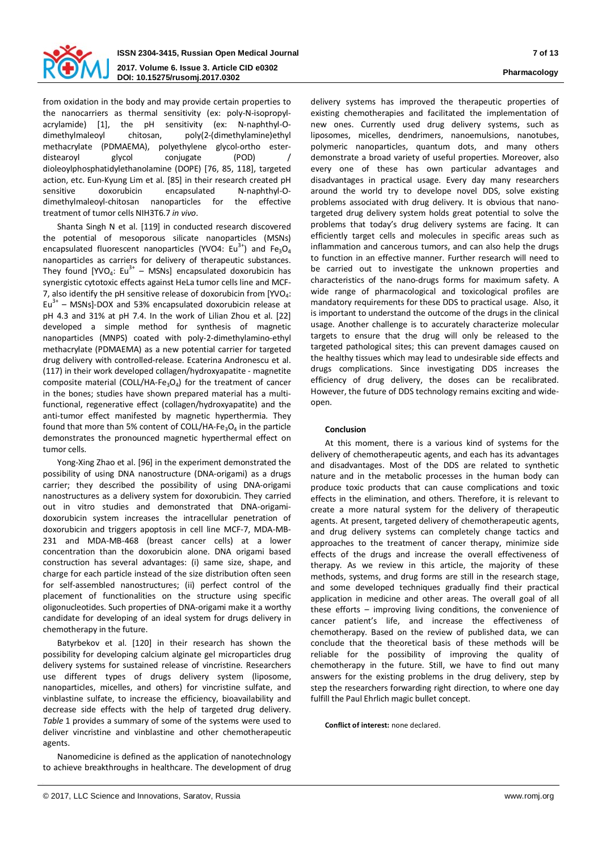

from oxidation in the body and may provide certain properties to the nanocarriers as thermal sensitivity (ex: poly-N-isopropylacrylamide) [1], the pH sensitivity (ex: N-naphthyl-Odimethylmaleoyl chitosan, poly(2-(dimethylamine)ethyl methacrylate (PDMAEMA), polyethylene glycol-ortho esterdistearoyl glycol conjugate (POD) dioleoylphosphatidylethanolamine (DOPE) [76, 85, 118], targeted action, etc. Eun-Kyung Lim et al. [85] in their research created pH sensitive doxorubicin encapsulated N-naphthyl-Odimethylmaleoyl-chitosan nanoparticles for the effective treatment of tumor cells NIH3T6.7 *in vivo*.

Shanta Singh N et al. [119] in conducted research discovered the potential of mesoporous silicate nanoparticles (MSNs) encapsulated fluorescent nanoparticles (YVO4:  $Eu^{3+}$ ) and Fe<sub>3</sub>O<sub>4</sub> nanoparticles as carriers for delivery of therapeutic substances. They found [YVO<sub>4</sub>: Eu<sup>3+</sup> – MSNs] encapsulated doxorubicin has synergistic cytotoxic effects against HeLa tumor cells line and MCF-7, also identify the pH sensitive release of doxorubicin from  $[YVO_4:$  $Eu<sup>3+</sup>$  – MSNsl-DOX and 53% encapsulated doxorubicin release at pH 4.3 and 31% at pH 7.4. In the work of Lilian Zhou et al. [22] developed a simple method for synthesis of magnetic nanoparticles (MNPS) coated with poly-2-dimethylamino-ethyl methacrylate (PDMAEMA) as a new potential carrier for targeted drug delivery with controlled-release. Ecaterina Andronescu et al. (117) in their work developed collagen/hydroxyapatite - magnetite composite material (COLL/HA-Fe<sub>3</sub>O<sub>4</sub>) for the treatment of cancer in the bones; studies have shown prepared material has a multifunctional, regenerative effect (collagen/hydroxyapatite) and the anti-tumor effect manifested by magnetic hyperthermia. They found that more than 5% content of COLL/HA-Fe<sub>3</sub>O<sub>4</sub> in the particle demonstrates the pronounced magnetic hyperthermal effect on tumor cells.

Yong-Xing Zhao et al. [96] in the experiment demonstrated the possibility of using DNA nanostructure (DNA-origami) as a drugs carrier; they described the possibility of using DNA-origami nanostructures as a delivery system for doxorubicin. They carried out in vitro studies and demonstrated that DNA-origamidoxorubicin system increases the intracellular penetration of doxorubicin and triggers apoptosis in cell line MCF-7, MDA-MB-231 and MDA-MB-468 (breast cancer cells) at a lower concentration than the doxorubicin alone. DNA origami based construction has several advantages: (i) same size, shape, and charge for each particle instead of the size distribution often seen for self-assembled nanostructures; (ii) perfect control of the placement of functionalities on the structure using specific oligonucleotides. Such properties of DNA-origami make it a worthy candidate for developing of an ideal system for drugs delivery in chemotherapy in the future.

Batyrbekov et al. [120] in their research has shown the possibility for developing calcium alginate gel microparticles drug delivery systems for sustained release of vincristine. Researchers use different types of drugs delivery system (liposome, nanoparticles, micelles, and others) for vincristine sulfate, and vinblastine sulfate, to increase the efficiency, bioavailability and decrease side effects with the help of targeted drug delivery. *Table* 1 provides a summary of some of the systems were used to deliver vincristine and vinblastine and other chemotherapeutic agents.

Nanomedicine is defined as the application of nanotechnology to achieve breakthroughs in healthcare. The development of drug delivery systems has improved the therapeutic properties of existing chemotherapies and facilitated the implementation of new ones. Currently used drug delivery systems, such as liposomes, micelles, dendrimers, nanoemulsions, nanotubes, polymeric nanoparticles, quantum dots, and many others demonstrate a broad variety of useful properties. Moreover, also every one of these has own particular advantages and disadvantages in practical usage. Every day many researchers around the world try to develope novel DDS, solve existing problems associated with drug delivery. It is obvious that nanotargeted drug delivery system holds great potential to solve the problems that today's drug delivery systems are facing. It can efficiently target cells and molecules in specific areas such as inflammation and cancerous tumors, and can also help the drugs to function in an effective manner. Further research will need to be carried out to investigate the unknown properties and characteristics of the nano-drugs forms for maximum safety. A wide range of pharmacological and toxicological profiles are mandatory requirements for these DDS to practical usage. Also, it is important to understand the outcome of the drugs in the clinical usage. Another challenge is to accurately characterize molecular targets to ensure that the drug will only be released to the targeted pathological sites; this can prevent damages caused on the healthy tissues which may lead to undesirable side effects and drugs complications. Since investigating DDS increases the efficiency of drug delivery, the doses can be recalibrated. However, the future of DDS technology remains exciting and wideopen.

### **Conclusion**

At this moment, there is a various kind of systems for the delivery of chemotherapeutic agents, and each has its advantages and disadvantages. Most of the DDS are related to synthetic nature and in the metabolic processes in the human body can produce toxic products that can cause complications and toxic effects in the elimination, and others. Therefore, it is relevant to create a more natural system for the delivery of therapeutic agents. At present, targeted delivery of chemotherapeutic agents, and drug delivery systems can completely change tactics and approaches to the treatment of cancer therapy, minimize side effects of the drugs and increase the overall effectiveness of therapy. As we review in this article, the majority of these methods, systems, and drug forms are still in the research stage, and some developed techniques gradually find their practical application in medicine and other areas. The overall goal of all these efforts – improving living conditions, the convenience of cancer patient's life, and increase the effectiveness of chemotherapy. Based on the review of published data, we can conclude that the theoretical basis of these methods will be reliable for the possibility of improving the quality of chemotherapy in the future. Still, we have to find out many answers for the existing problems in the drug delivery, step by step the researchers forwarding right direction, to where one day fulfill the Paul Ehrlich magic bullet concept.

**Conflict of interest:** none declared.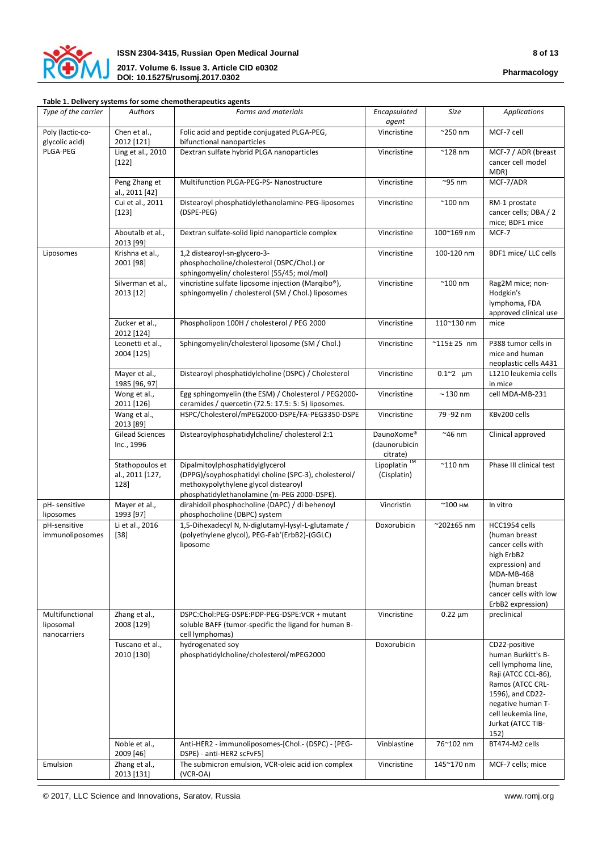

## **Table 1. Delivery systems for some chemotherapeutics agents**

| Type of the carrier                          | Authors                                    | Forms and materials                                                                                                                                                            | Encapsulated<br>agent                   | Size                      | Applications                                                                                                                                                                                       |
|----------------------------------------------|--------------------------------------------|--------------------------------------------------------------------------------------------------------------------------------------------------------------------------------|-----------------------------------------|---------------------------|----------------------------------------------------------------------------------------------------------------------------------------------------------------------------------------------------|
| Poly (lactic-co-<br>glycolic acid)           | Chen et al.,<br>2012 [121]                 | Folic acid and peptide conjugated PLGA-PEG,<br>bifunctional nanoparticles                                                                                                      | Vincristine                             | $^{\sim}$ 250 nm          | MCF-7 cell                                                                                                                                                                                         |
| PLGA-PEG                                     | Ling et al., 2010<br>$[122]$               | Dextran sulfate hybrid PLGA nanoparticles                                                                                                                                      | Vincristine                             | $^{\sim}$ 128 nm          | MCF-7 / ADR (breast<br>cancer cell model<br>MDR)                                                                                                                                                   |
|                                              | Peng Zhang et<br>al., 2011 [42]            | Multifunction PLGA-PEG-PS- Nanostructure                                                                                                                                       | Vincristine                             | $^{\sim}$ 95 nm           | MCF-7/ADR                                                                                                                                                                                          |
|                                              | Cui et al., 2011<br>$[123]$                | Distearoyl phosphatidylethanolamine-PEG-liposomes<br>(DSPE-PEG)                                                                                                                | Vincristine                             | $^{\sim}$ 100 nm          | RM-1 prostate<br>cancer cells; DBA / 2<br>mice; BDF1 mice                                                                                                                                          |
|                                              | Aboutalb et al.,<br>2013 [99]              | Dextran sulfate-solid lipid nanoparticle complex                                                                                                                               | Vincristine                             | $100^{\sim}169$ nm        | MCF-7                                                                                                                                                                                              |
| Liposomes                                    | Krishna et al.,<br>2001 [98]               | 1,2 distearoyl-sn-glycero-3-<br>phosphocholine/cholesterol (DSPC/Chol.) or<br>sphingomyelin/cholesterol (55/45; mol/mol)                                                       | Vincristine                             | 100-120 nm                | BDF1 mice/ LLC cells                                                                                                                                                                               |
|                                              | Silverman et al.,<br>2013 [12]             | vincristine sulfate liposome injection (Marqibo®),<br>sphingomyelin / cholesterol (SM / Chol.) liposomes                                                                       | Vincristine                             | $^{\sim}$ 100 nm          | Rag2M mice; non-<br>Hodgkin's<br>lymphoma, FDA<br>approved clinical use                                                                                                                            |
|                                              | Zucker et al.,<br>2012 [124]               | Phospholipon 100H / cholesterol / PEG 2000                                                                                                                                     | Vincristine                             | 110~130 nm                | mice                                                                                                                                                                                               |
|                                              | Leonetti et al.,<br>2004 [125]             | Sphingomyelin/cholesterol liposome (SM / Chol.)                                                                                                                                | Vincristine                             | $^{\sim}$ 115± 25 nm      | P388 tumor cells in<br>mice and human<br>neoplastic cells A431                                                                                                                                     |
|                                              | Mayer et al.,<br>1985 [96, 97]             | Distearoyl phosphatidylcholine (DSPC) / Cholesterol                                                                                                                            | Vincristine                             | $0.1^{\sim}2$ um          | L1210 leukemia cells<br>in mice                                                                                                                                                                    |
|                                              | Wong et al.,<br>2011 [126]                 | Egg sphingomyelin (the ESM) / Cholesterol / PEG2000-<br>ceramides / quercetin (72.5: 17.5: 5: 5) liposomes.                                                                    | Vincristine                             | $\sim$ 130 nm             | cell MDA-MB-231                                                                                                                                                                                    |
|                                              | Wang et al.,<br>2013 [89]                  | HSPC/Cholesterol/mPEG2000-DSPE/FA-PEG3350-DSPE                                                                                                                                 | Vincristine                             | 79 - 92 nm                | KBv200 cells                                                                                                                                                                                       |
|                                              | <b>Gilead Sciences</b><br>Inc., 1996       | Distearoylphosphatidylcholine/ cholesterol 2:1                                                                                                                                 | DaunoXome®<br>(daunorubicin<br>citrate) | $~^{\sim}$ 46 nm          | Clinical approved                                                                                                                                                                                  |
|                                              | Stathopoulos et<br>al., 2011 [127,<br>128] | Dipalmitoylphosphatidylglycerol<br>(DPPG)/soyphosphatidyl choline (SPC-3), cholesterol/<br>methoxypolythylene glycol distearoyl<br>phosphatidylethanolamine (m-PEG 2000-DSPE). | Lipoplatin <sup>™</sup><br>(Cisplatin)  | $^{\sim}$ 110 nm          | Phase III clinical test                                                                                                                                                                            |
| pH-sensitive<br>liposomes                    | Mayer et al.,<br>1993 [97]                 | dirahidoil phosphocholine (DAPC) / di behenoyl<br>phosphocholine (DBPC) system                                                                                                 | Vincristin                              | $^{\sim}$ 100 нм          | In vitro                                                                                                                                                                                           |
| pH-sensitive<br>immunoliposomes              | Li et al., 2016<br>$[38]$                  | 1,5-Dihexadecyl N, N-diglutamyl-lysyl-L-glutamate /<br>(polyethylene glycol), PEG-Fab'(ErbB2)-(GGLC)<br>liposome                                                               | Doxorubicin                             | $^{\sim}$ 202 $\pm$ 65 nm | HCC1954 cells<br>(human breast<br>cancer cells with<br>high ErbB2<br>expression) and<br>MDA-MB-468<br>(human breast<br>cancer cells with low<br>ErbB2 expression)                                  |
| Multifunctional<br>liposomal<br>nanocarriers | Zhang et al.,<br>2008 [129]                | DSPC:Chol:PEG-DSPE:PDP-PEG-DSPE:VCR + mutant<br>soluble BAFF (tumor-specific the ligand for human B-<br>cell lymphomas)                                                        | Vincristine                             | $0.22 \mu m$              | preclinical                                                                                                                                                                                        |
|                                              | Tuscano et al.,<br>2010 [130]              | hydrogenated soy<br>phosphatidylcholine/cholesterol/mPEG2000                                                                                                                   | Doxorubicin                             |                           | CD22-positive<br>human Burkitt's B-<br>cell lymphoma line,<br>Raji (ATCC CCL-86),<br>Ramos (ATCC CRL-<br>1596), and CD22-<br>negative human T-<br>cell leukemia line,<br>Jurkat (ATCC TIB-<br>152) |
|                                              | Noble et al.,<br>2009 [46]                 | Anti-HER2 - immunoliposomes-[Chol.- (DSPC) - (PEG-<br>DSPE) - anti-HER2 scFvF5]                                                                                                | Vinblastine                             | 76~102 nm                 | BT474-M2 cells                                                                                                                                                                                     |
| Emulsion                                     | Zhang et al.,<br>2013 [131]                | The submicron emulsion, VCR-oleic acid ion complex<br>$(VCR-OA)$                                                                                                               | Vincristine                             | 145~170 nm                | MCF-7 cells; mice                                                                                                                                                                                  |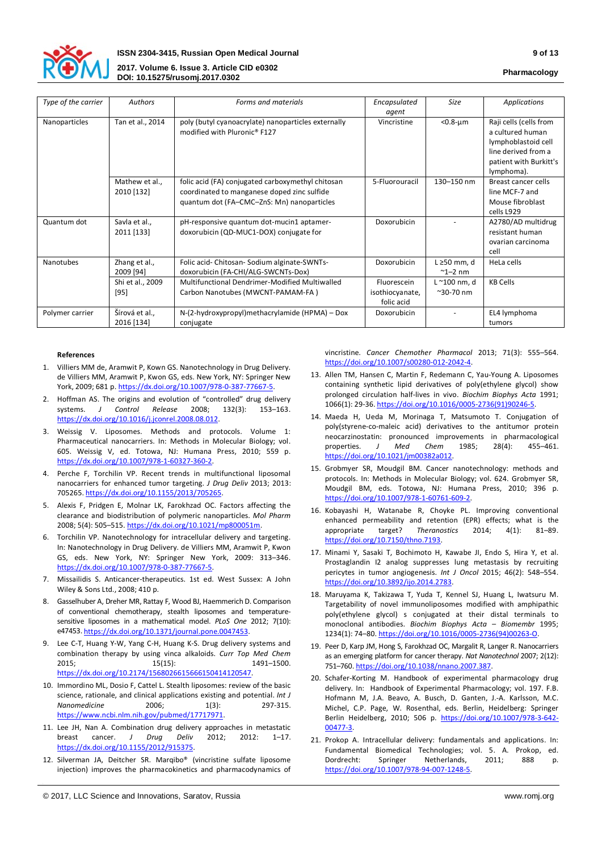

*Type of the carrier* **Authors Forms and materials** *Forms* and materials

|          |                       |                 | <b>Pharmacolog</b>     |
|----------|-----------------------|-----------------|------------------------|
|          |                       |                 |                        |
|          | Encapsulated<br>agent | Size            | Applications           |
| ternally | Vincristine           | $< 0.8 - \mu m$ | Raji cells (cells from |

|                 |                              |                                                                                                                                                | ugunu                                        |                                    |                                                                                                                                  |
|-----------------|------------------------------|------------------------------------------------------------------------------------------------------------------------------------------------|----------------------------------------------|------------------------------------|----------------------------------------------------------------------------------------------------------------------------------|
| Nanoparticles   | Tan et al., 2014             | poly (butyl cyanoacrylate) nanoparticles externally<br>modified with Pluronic® F127                                                            | Vincristine                                  | $< 0.8 - \mu m$                    | Raji cells (cells from<br>a cultured human<br>lymphoblastoid cell<br>line derived from a<br>patient with Burkitt's<br>lymphoma). |
|                 | Mathew et al.,<br>2010 [132] | folic acid (FA) conjugated carboxymethyl chitosan<br>coordinated to manganese doped zinc sulfide<br>quantum dot (FA-CMC-ZnS: Mn) nanoparticles | 5-Fluorouracil                               | $130 - 150$ nm                     | Breast cancer cells<br>line MCF-7 and<br>Mouse fibroblast<br>cells L929                                                          |
| Quantum dot     | Savla et al.,<br>2011 [133]  | pH-responsive quantum dot-mucin1 aptamer-<br>doxorubicin (QD-MUC1-DOX) conjugate for                                                           | Doxorubicin                                  |                                    | A2780/AD multidrug<br>resistant human<br>ovarian carcinoma<br>cell                                                               |
| Nanotubes       | Zhang et al.,<br>2009 [94]   | Folic acid- Chitosan- Sodium alginate-SWNTs-<br>doxorubicin (FA-CHI/ALG-SWCNTs-Dox)                                                            | Doxorubicin                                  | $L \geq 50$ mm, d<br>$\sim$ 1-2 nm | HeLa cells                                                                                                                       |
|                 | Shi et al., 2009<br>$[95]$   | Multifunctional Dendrimer-Modified Multiwalled<br>Carbon Nanotubes (MWCNT-PAMAM-FA)                                                            | Fluorescein<br>isothiocyanate,<br>folic acid | L ~100 nm, d<br>$^{\sim}$ 30-70 nm | <b>KB Cells</b>                                                                                                                  |
| Polymer carrier | Šírová et al.,<br>2016 [134] | N-(2-hydroxypropyl)methacrylamide (HPMA) – Dox<br>conjugate                                                                                    | Doxorubicin                                  |                                    | EL4 lymphoma<br>tumors                                                                                                           |

#### **References**

- 1. Villiers MM de, Aramwit P, Kown GS. Nanotechnology in Drug Delivery. de Villiers MM, Aramwit P, Kwon GS, eds. New York, NY: Springer New York, 2009; 681 p[. https://dx.doi.org/10.1007/978-0-387-77667-5.](https://dx.doi.org/10.1007/978-0-387-77667-5)
- 2. Hoffman AS. The origins and evolution of "controlled" drug delivery systems. *J Control Release* 2008; 132(3): 153–163. [https://dx.doi.org/10.1016/j.jconrel.2008.08.012.](https://dx.doi.org/10.1016/j.jconrel.2008.08.012)
- 3. Weissig V. Liposomes. Methods and protocols. Volume 1: Pharmaceutical nanocarriers. In: Methods in Molecular Biology; vol. 605. Weissig V, ed. Totowa, NJ: Humana Press, 2010; 559 p. [https://dx.doi.org/10.1007/978-1-60327-360-2.](https://dx.doi.org/10.1007/978-1-60327-360-2)
- 4. Perche F, Torchilin VP. Recent trends in multifunctional liposomal nanocarriers for enhanced tumor targeting. *J Drug Deliv* 2013; 2013: 705265[. https://dx.doi.org/10.1155/2013/705265.](https://dx.doi.org/10.1155/2013/705265)
- 5. Alexis F, Pridgen E, Molnar LK, Farokhzad OC. Factors affecting the clearance and biodistribution of polymeric nanoparticles. *Mol Pharm*  2008; 5(4): 505–515. [https://dx.doi.org/10.1021/mp800051m.](https://dx.doi.org/10.1021/mp800051m)
- 6. Torchilin VP. Nanotechnology for intracellular delivery and targeting. In: Nanotechnology in Drug Delivery. de Villiers MM, Aramwit P, Kwon GS, eds. New York, NY: Springer New York, 2009: 313–346. [https://dx.doi.org/10.1007/978-0-387-77667-5.](https://dx.doi.org/10.1007/978-0-387-77667-5)
- 7. Missailidis S. Anticancer-therapeutics. 1st ed. West Sussex: A John Wiley & Sons Ltd., 2008; 410 p.
- 8. Gasselhuber A, Dreher MR, Rattay F, Wood BJ, Haemmerich D. Comparison of conventional chemotherapy, stealth liposomes and temperaturesensitive liposomes in a mathematical model. *PLoS One* 2012; 7(10): e47453[. https://dx.doi.org/10.1371/journal.pone.0047453.](https://dx.doi.org/10.1371/journal.pone.0047453)
- 9. Lee C-T, Huang Y-W, Yang C-H, Huang K-S. Drug delivery systems and combination therapy by using vinca alkaloids. *Curr Top Med Chem* 2015; 15(15): 1491-1500. [https://dx.doi.org/10.2174/1568026615666150414120547.](https://dx.doi.org/10.2174/1568026615666150414120547)
- 10. Immordino ML, Dosio F, Cattel L. Stealth liposomes: review of the basic science, rationale, and clinical applications existing and potential. *Int J Nanomedicine* 2006: 1(3): [https://www.ncbi.nlm.nih.gov/pubmed/17717971.](https://www.ncbi.nlm.nih.gov/pubmed/17717971)
- 11. Lee JH, Nan A. Combination drug delivery approaches in metastatic<br>breast cancer. J Drug Deliv 2012. 2012. breast cancer. *J Drug Deliv* 2012; 2012: 1–17. [https://dx.doi.org/10.1155/2012/915375.](https://dx.doi.org/10.1155/2012/915375)
- 12. Silverman JA, Deitcher SR. Marqibo® (vincristine sulfate liposome injection) improves the pharmacokinetics and pharmacodynamics of

vincristine. *Cancer Chemother Pharmacol* 2013; 71(3): 555–564. [https://doi.org/10.1007/s00280-012-2042-4.](https://doi.org/10.1007/s00280-012-2042-4) 

- 13. Allen TM, Hansen C, Martin F, Redemann C, Yau-Young A. Liposomes containing synthetic lipid derivatives of poly(ethylene glycol) show prolonged circulation half-lives in vivo. *Biochim Biophys Acta* 1991; 1066(1): 29-36[. https://doi.org/10.1016/0005-2736\(91\)90246-5.](https://doi.org/10.1016/0005-2736(91)90246-5)
- 14. Maeda H, Ueda M, Morinaga T, Matsumoto T. Conjugation of poly(styrene-co-maleic acid) derivatives to the antitumor protein neocarzinostatin: pronounced improvements in pharmacological properties. *J Med Chem* 1985; 28(4): 455–461. [https://doi.org/10.1021/jm00382a012.](https://doi.org/10.1021/jm00382a012)
- 15. Grobmyer SR, Moudgil BM. Cancer nanotechnology: methods and protocols. In: Methods in Molecular Biology; vol. 624. Grobmyer SR, Moudgil BM, eds. Totowa, NJ: Humana Press, 2010; 396 p. [https://doi.org/10.1007/978-1-60761-609-2.](https://doi.org/10.1007/978-1-60761-609-2)
- 16. Kobayashi H, Watanabe R, Choyke PL. Improving conventional enhanced permeability and retention (EPR) effects; what is the appropriate target? *Theranostics* 2014; 4(1): 81–89. [https://doi.org/10.7150/thno.7193.](https://doi.org/10.7150/thno.7193)
- 17. Minami Y, Sasaki T, Bochimoto H, Kawabe JI, Endo S, Hira Y, et al. Prostaglandin I2 analog suppresses lung metastasis by recruiting pericytes in tumor angiogenesis. *Int J Oncol* 2015; 46(2): 548–554. [https://doi.org/10.3892/ijo.2014.2783.](https://doi.org/10.3892/ijo.2014.2783)
- 18. Maruyama K, Takizawa T, Yuda T, Kennel SJ, Huang L, Iwatsuru M. Targetability of novel immunoliposomes modified with amphipathic poly(ethylene glycol) s conjugated at their distal terminals to monoclonal antibodies. *Biochim Biophys Acta – Biomembr* 1995; 1234(1): 74–80. [https://doi.org/10.1016/0005-2736\(94\)00263-O.](https://doi.org/10.1016/0005-2736(94)00263-O)
- 19. Peer D, Karp JM, Hong S, Farokhzad OC, Margalit R, Langer R. Nanocarriers as an emerging platform for cancer therapy. *Nat Nanotechnol* 2007; 2(12): 751–760. [https://doi.org/10.1038/nnano.2007.387.](https://doi.org/10.1038/nnano.2007.387)
- 20. Schafer-Korting M. Handbook of experimental pharmacology drug delivery. In: Handbook of Experimental Pharmacology; vol. 197. F.B. Hofmann M, J.A. Beavo, A. Busch, D. Ganten, J.-A. Karlsson, M.C. Michel, C.P. Page, W. Rosenthal, eds. Berlin, Heidelberg: Springer Berlin Heidelberg, 2010; 506 p. [https://doi.org/10.1007/978-3-642-](https://doi.org/10.1007/978-3-642-00477-3) [00477-3.](https://doi.org/10.1007/978-3-642-00477-3)
- 21. Prokop A. Intracellular delivery: fundamentals and applications. In: Fundamental Biomedical Technologies; vol. 5. A. Prokop, ed. Dordrecht: Springer Netherlands, 2011; 888 p. [https://doi.org/10.1007/978-94-007-1248-5.](https://doi.org/10.1007/978-94-007-1248-5)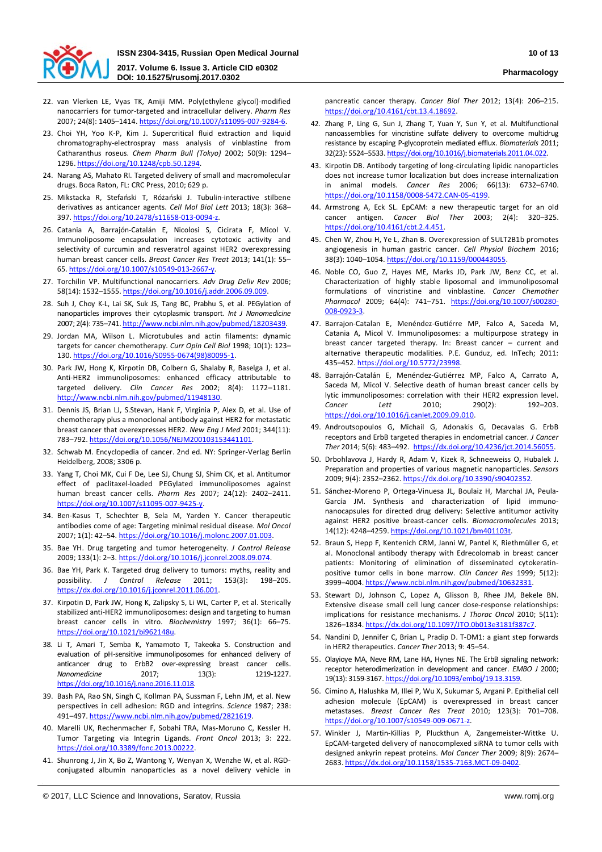

- 22. van Vlerken LE, Vyas TK, Amiji MM. Poly(ethylene glycol)-modified nanocarriers for tumor-targeted and intracellular delivery. *Pharm Res*  2007; 24(8): 1405–1414[. https://doi.org/10.1007/s11095-007-9284-6.](https://doi.org/10.1007/s11095-007-9284-6)
- 23. Choi YH, Yoo K-P, Kim J. Supercritical fluid extraction and liquid chromatography-electrospray mass analysis of vinblastine from Catharanthus roseus. *Chem Pharm Bull (Tokyo)* 2002; 50(9): 1294– 1296. [https://doi.org/10.1248/cpb.50.1294.](https://doi.org/10.1248/cpb.50.1294)
- 24. Narang AS, Mahato RI. Targeted delivery of small and macromolecular drugs. Boca Raton, FL: CRC Press, 2010; 629 p.
- 25. Mikstacka R, Stefański T, Różański J. Tubulin-interactive stilbene derivatives as anticancer agents. *Cell Mol Biol Lett* 2013; 18(3): 368– 397. [https://doi.org/10.2478/s11658-013-0094-z.](https://doi.org/10.2478/s11658-013-0094-z)
- 26. Catania A, Barrajón-Catalán E, Nicolosi S, Cicirata F, Micol V. Immunoliposome encapsulation increases cytotoxic activity and selectivity of curcumin and resveratrol against HER2 overexpressing human breast cancer cells. *Breast Cancer Res Treat* 2013; 141(1): 55– 65[. https://doi.org/10.1007/s10549-013-2667-y.](https://doi.org/10.1007/s10549-013-2667-y)
- 27. Torchilin VP. Multifunctional nanocarriers. *Adv Drug Deliv Rev* 2006; 58(14): 1532–1555[. https://doi.org/10.1016/j.addr.2006.09.009.](https://doi.org/10.1016/j.addr.2006.09.009)
- 28. Suh J, Choy K-L, Lai SK, Suk JS, Tang BC, Prabhu S, et al. PEGylation of nanoparticles improves their cytoplasmic transport. *Int J Nanomedicine* 2007; 2(4): 735–741[. http://www.ncbi.nlm.nih.gov/pubmed/18203439.](http://www.ncbi.nlm.nih.gov/pubmed/18203439)
- 29. Jordan MA, Wilson L. Microtubules and actin filaments: dynamic targets for cancer chemotherapy. *Curr Opin Cell Biol* 1998; 10(1): 123– 130. [https://doi.org/10.1016/S0955-0674\(98\)80095-1.](https://doi.org/10.1016/S0955-0674(98)80095-1)
- 30. Park JW, Hong K, Kirpotin DB, Colbern G, Shalaby R, Baselga J, et al. Anti-HER2 immunoliposomes: enhanced efficacy attributable to targeted delivery. *Clin Cancer Res* 2002; 8(4): 1172–1181. [http://www.ncbi.nlm.nih.gov/pubmed/11948130.](http://www.ncbi.nlm.nih.gov/pubmed/11948130)
- 31. Dennis JS, Brian LJ, S.Stevan, Hank F, Virginia P, Alex D, et al. Use of chemotherapy plus a monoclonal antibody against HER2 for metastatic breast cancer that overexpresses HER2. *New Eng J Med* 2001; 344(11): 783–792. [https://doi.org/10.1056/NEJM200103153441101.](https://doi.org/10.1056/NEJM200103153441101)
- 32. Schwab M. Encyclopedia of cancer. 2nd ed. NY: Springer-Verlag Berlin Heidelberg, 2008; 3306 p.
- 33. Yang T, Choi MK, Cui F De, Lee SJ, Chung SJ, Shim CK, et al. Antitumor effect of paclitaxel-loaded PEGylated immunoliposomes against human breast cancer cells. *Pharm Res* 2007; 24(12): 2402–2411. [https://doi.org/10.1007/s11095-007-9425-y.](https://doi.org/10.1007/s11095-007-9425-y)
- 34. Ben-Kasus T, Schechter B, Sela M, Yarden Y. Cancer therapeutic antibodies come of age: Targeting minimal residual disease. *Mol Oncol*  2007; 1(1): 42–54. [https://doi.org/10.1016/j.molonc.2007.01.003.](https://doi.org/10.1016/j.molonc.2007.01.003)
- 35. Bae YH. Drug targeting and tumor heterogeneity. *J Control Release*  2009; 133(1): 2–3. [https://doi.org/10.1016/j.jconrel.2008.09.074.](https://doi.org/10.1016/j.jconrel.2008.09.074)
- 36. Bae YH, Park K. Targeted drug delivery to tumors: myths, reality and possibility. *J Control Release* 2011; 153(3): 198–205. [https://dx.doi.org/10.1016/j.jconrel.2011.06.001.](https://dx.doi.org/10.1016/j.jconrel.2011.06.001)
- 37. Kirpotin D, Park JW, Hong K, Zalipsky S, Li WL, Carter P, et al. Sterically stabilized anti-HER2 immunoliposomes: design and targeting to human breast cancer cells in vitro. *Biochemistry* 1997; 36(1): 66–75. [https://doi.org/10.1021/bi962148u.](https://doi.org/10.1021/bi962148u)
- 38. Li T, Amari T, Semba K, Yamamoto T, Takeoka S. Construction and evaluation of pH-sensitive immunoliposomes for enhanced delivery of anticancer drug to ErbB2 over-expressing breast cancer cells. *Nanomedicine* 2017; 13(3): 1219-1227. [https://doi.org/10.1016/j.nano.2016.11.018.](https://doi.org/10.1016/j.nano.2016.11.018)
- 39. Bash PA, Rao SN, Singh C, Kollman PA, Sussman F, Lehn JM, et al. New perspectives in cell adhesion: RGD and integrins. *Science* 1987; 238: 491–497. [https://www.ncbi.nlm.nih.gov/pubmed/2821619.](https://www.ncbi.nlm.nih.gov/pubmed/2821619)
- 40. Marelli UK, Rechenmacher F, Sobahi TRA, Mas-Moruno C, Kessler H. Tumor Targeting via Integrin Ligands. *Front Oncol* 2013; 3: 222. [https://doi.org/10.3389/fonc.2013.00222.](https://doi.org/10.3389/fonc.2013.00222)
- 41. Shunrong J, Jin X, Bo Z, Wantong Y, Wenyan X, Wenzhe W, et al. RGDconjugated albumin nanoparticles as a novel delivery vehicle in

pancreatic cancer therapy. *Cancer Biol Ther* 2012; 13(4): 206–215. [https://doi.org/10.4161/cbt.13.4.18692.](https://doi.org/10.4161/cbt.13.4.18692)

- 42. Zhang P, Ling G, Sun J, Zhang T, Yuan Y, Sun Y, et al. Multifunctional nanoassemblies for vincristine sulfate delivery to overcome multidrug resistance by escaping P-glycoprotein mediated efflux. *Biomaterials* 2011; 32(23): 5524–5533[. https://doi.org/10.1016/j.biomaterials.2011.04.022.](https://doi.org/10.1016/j.biomaterials.2011.04.022)
- 43. Kirpotin DB. Antibody targeting of long-circulating lipidic nanoparticles does not increase tumor localization but does increase internalization in animal models. *Cancer Res* 2006; 66(13): 6732–6740. [https://doi.org/10.1158/0008-5472.CAN-05-4199.](https://doi.org/10.1158/0008-5472.CAN-05-4199)
- 44. Armstrong A, Eck SL. EpCAM: a new therapeutic target for an old cancer antigen. *Cancer Biol Ther* 2003; 2(4): 320–325. [https://doi.org/10.4161/cbt.2.4.451.](https://doi.org/10.4161/cbt.2.4.451)
- 45. Chen W, Zhou H, Ye L, Zhan B. Overexpression of SULT2B1b promotes angiogenesis in human gastric cancer. *Cell Physiol Biochem* 2016; 38(3): 1040–1054. [https://doi.org/10.1159/000443055.](https://doi.org/10.1159/000443055)
- 46. Noble CO, Guo Z, Hayes ME, Marks JD, Park JW, Benz CC, et al. Characterization of highly stable liposomal and immunoliposomal formulations of vincristine and vinblastine. *Cancer Chemother Pharmacol* 2009; 64(4): 741–751. [https://doi.org/10.1007/s00280-](https://doi.org/10.1007/s00280-008-0923-3) [008-0923-3.](https://doi.org/10.1007/s00280-008-0923-3)
- 47. Barrajon-Catalan E, Menéndez-Gutiérre MP, Falco A, Saceda M, Catania A, Micol V. Immunoliposomes: a multipurpose strategy in breast cancer targeted therapy. In: Breast cancer – current and alternative therapeutic modalities. P.E. Gunduz, ed. InTech; 2011: 435–452. [https://doi.org/10.5772/23998.](https://doi.org/10.5772/23998)
- 48. Barrajón-Catalán E, Menéndez-Gutiérrez MP, Falco A, Carrato A, Saceda M, Micol V. Selective death of human breast cancer cells by lytic immunoliposomes: correlation with their HER2 expression level. *Cancer Lett* 2010; 290(2): 192–203. [https://doi.org/10.1016/j.canlet.2009.09.010.](https://doi.org/10.1016/j.canlet.2009.09.010)
- 49. Androutsopoulos G, Michail G, Adonakis G, Decavalas G. ErbB receptors and ErbB targeted therapies in endometrial cancer. *J Cancer Ther* 2014; 5(6): 483–492. [https://dx.doi.org/10.4236/jct.2014.56055.](https://dx.doi.org/10.4236/jct.2014.56055)
- 50. Drbohlavova J, Hardy R, Adam V, Kizek R, Schneeweiss O, Hubalek J. Preparation and properties of various magnetic nanoparticles. *Sensors* 2009; 9(4): 2352–2362[. https://dx.doi.org/10.3390/s90402352.](https://dx.doi.org/10.3390/s90402352)
- 51. Sánchez-Moreno P, Ortega-Vinuesa JL, Boulaiz H, Marchal JA, Peula-García JM. Synthesis and characterization of lipid immunonanocapsules for directed drug delivery: Selective antitumor activity against HER2 positive breast-cancer cells. *Biomacromolecules* 2013; 14(12): 4248–4259[. https://doi.org/10.1021/bm401103t.](https://doi.org/10.1021/bm401103t)
- 52. Braun S, Hepp F, Kentenich CRM, Janni W, Pantel K, Riethmüller G, et al. Monoclonal antibody therapy with Edrecolomab in breast cancer patients: Monitoring of elimination of disseminated cytokeratinpositive tumor cells in bone marrow. *Clin Cancer Res* 1999; 5(12): 3999–4004. [https://www.ncbi.nlm.nih.gov/pubmed/10632331.](https://www.ncbi.nlm.nih.gov/pubmed/10632331)
- 53. Stewart DJ, Johnson C, Lopez A, Glisson B, Rhee JM, Bekele BN. Extensive disease small cell lung cancer dose-response relationships: implications for resistance mechanisms. *J Thorac Oncol* 2010; 5(11): 1826–1834[. https://dx.doi.org/10.1097/JTO.0b013e3181f387c7.](https://dx.doi.org/10.1097/JTO.0b013e3181f387c7)
- 54. Nandini D, Jennifer C, Brian L, Pradip D. T-DM1: a giant step forwards in HER2 therapeutics. *Cancer Ther* 2013; 9: 45–54.
- 55. Olayioye MA, Neve RM, Lane HA, Hynes NE. The ErbB signaling network: receptor heterodimerization in development and cancer. *EMBO J* 2000; 19(13): 3159-3167. [https://doi.org/10.1093/emboj/19.13.3159.](https://doi.org/10.1093/emboj/19.13.3159)
- 56. Cimino A, Halushka M, Illei P, Wu X, Sukumar S, Argani P. Epithelial cell adhesion molecule (EpCAM) is overexpressed in breast cancer metastases. *Breast Cancer Res Treat* 2010; 123(3): 701–708. [https://doi.org/10.1007/s10549-009-0671-z.](https://doi.org/10.1007/s10549-009-0671-z)
- 57. Winkler J, Martin-Killias P, Pluckthun A, Zangemeister-Wittke U. EpCAM-targeted delivery of nanocomplexed siRNA to tumor cells with designed ankyrin repeat proteins. *Mol Cancer Ther* 2009; 8(9): 2674– 2683[. https://dx.doi.org/10.1158/1535-7163.MCT-09-0402.](https://dx.doi.org/10.1158/1535-7163.MCT-09-0402)

<sup>©</sup> 2017, LLC Science and Innovations, Saratov, Russia www.romj.org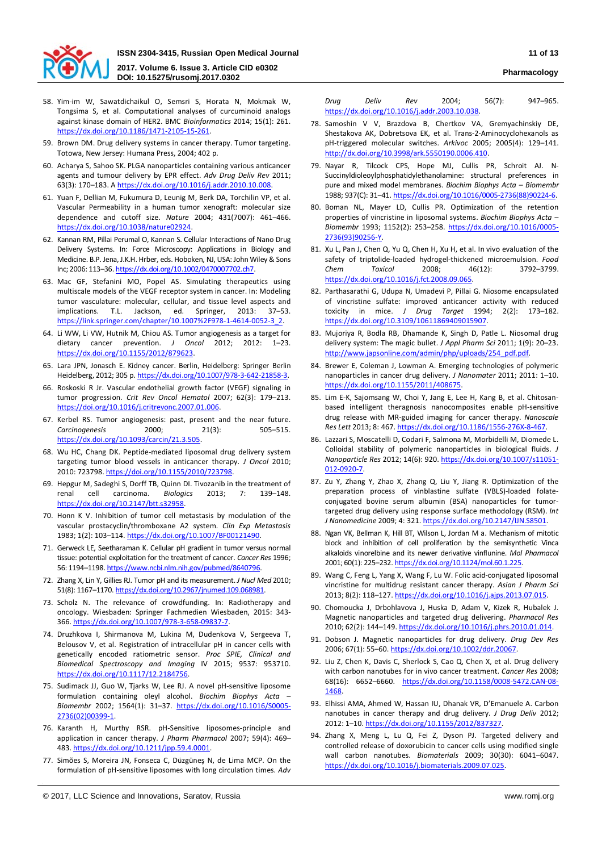

**DOI: 10.15275/rusomj.2017.0302 Pharmacology**

- 58. Yim-im W, Sawatdichaikul O, Semsri S, Horata N, Mokmak W, Tongsima S, et al. Computational analyses of curcuminoid analogs against kinase domain of HER2. BMC *Bioinformatics* 2014; 15(1): 261. [https://dx.doi.org/10.1186/1471-2105-15-261.](https://dx.doi.org/10.1186/1471-2105-15-261)
- 59. Brown DM. Drug delivery systems in cancer therapy. Tumor targeting. Totowa, New Jersey: Humana Press, 2004; 402 p.
- 60. Acharya S, Sahoo SK. PLGA nanoparticles containing various anticancer agents and tumour delivery by EPR effect. *Adv Drug Deliv Rev* 2011; 63(3): 170–183. A [https://dx.doi.org/10.1016/j.addr.2010.10.008.](https://dx.doi.org/10.1016/j.addr.2010.10.008)
- 61. Yuan F, Dellian M, Fukumura D, Leunig M, Berk DA, Torchilin VP, et al. Vascular Permeability in a human tumor xenograft: molecular size dependence and cutoff size. *Nature* 2004; 431(7007): 461–466. [https://dx.doi.org/10.1038/nature02924.](https://dx.doi.org/10.1038/nature02924)
- 62. Kannan RM, Pillai Perumal O, Kannan S. Cellular Interactions of Nano Drug Delivery Systems. In: Force Microscopy: Applications in Biology and Medicine. B.P. Jena, J.K.H. Hrber, eds. Hoboken, NJ, USA: John Wiley & Sons Inc; 2006: 113–36[. https://dx.doi.org/10.1002/0470007702.ch7.](https://dx.doi.org/10.1002/0470007702.ch7)
- 63. Mac GF, Stefanini MO, Popel AS. Simulating therapeutics using multiscale models of the VEGF receptor system in cancer. In: Modeling tumor vasculature: molecular, cellular, and tissue level aspects and implications. T.L. Jackson, ed. Springer, 2013: 37–53. [https://link.springer.com/chapter/10.1007%2F978-1-4614-0052-3\\_2.](https://link.springer.com/chapter/10.1007%2F978-1-4614-0052-3_2)
- 64. Li WW, Li VW, Hutnik M, Chiou AS. Tumor angiogenesis as a target for dietary cancer prevention. *J Oncol* 2012; 2012: 1–23. [https://dx.doi.org/10.1155/2012/879623.](https://dx.doi.org/10.1155/2012/879623)
- 65. Lara JPN, Jonasch E. Kidney cancer. Berlin, Heidelberg: Springer Berlin Heidelberg, 2012; 305 p[. https://dx.doi.org/10.1007/978-3-642-21858-3.](https://dx.doi.org/10.1007/978-3-642-21858-3)
- 66. Roskoski R Jr. Vascular endothelial growth factor (VEGF) signaling in tumor progression. *Crit Rev Oncol Hematol* 2007; 62(3): 179–213. [https://doi.org/10.1016/j.critrevonc.2007.01.006.](https://doi.org/10.1016/j.critrevonc.2007.01.006)
- 67. Kerbel RS. Tumor angiogenesis: past, present and the near future. *Carcinogenesis* 2000; 21(3): 505–515. [https://dx.doi.org/10.1093/carcin/21.3.505.](https://dx.doi.org/10.1093/carcin/21.3.505)
- 68. Wu HC, Chang DK. Peptide-mediated liposomal drug delivery system targeting tumor blood vessels in anticancer therapy. *J Oncol* 2010; 2010: 723798. [https://doi.org/10.1155/2010/723798.](https://doi.org/10.1155/2010/723798)
- 69. Hepgur M, Sadeghi S, Dorff TB, Quinn DI. Tivozanib in the treatment of renal cell carcinoma. *Biologics* 2013; 7: 139–148. [https://dx.doi.org/10.2147/btt.s32958.](https://dx.doi.org/10.2147/btt.s32958)
- 70. Honn K V. Inhibition of tumor cell metastasis by modulation of the vascular prostacyclin/thromboxane A2 system. *Clin Exp Metastasis*  1983; 1(2): 103–114. [https://dx.doi.org/10.1007/BF00121490.](https://dx.doi.org/10.1007/BF00121490)
- 71. Gerweck LE, Seetharaman K. Cellular pH gradient in tumor versus normal tissue: potential exploitation for the treatment of cancer. *Cancer Res* 1996; 56: 1194–1198[. https://www.ncbi.nlm.nih.gov/pubmed/8640796.](https://www.ncbi.nlm.nih.gov/pubmed/8640796)
- 72. Zhang X, Lin Y, Gillies RJ. Tumor pH and its measurement. *J Nucl Med* 2010; 51(8): 1167-1170. https://dx.doi.org/10.2967/jnumed.109.06898:
- 73. Scholz N. The relevance of crowdfunding. In: Radiotherapy and oncology. Wiesbaden: Springer Fachmedien Wiesbaden, 2015: 343- 366. [https://dx.doi.org/10.1007/978-3-658-09837-7.](https://dx.doi.org/10.1007/978-3-658-09837-7)
- 74. Druzhkova I, Shirmanova M, Lukina M, Dudenkova V, Sergeeva T, Belousov V, et al. Registration of intracellular pH in cancer cells with genetically encoded ratiometric sensor. *Proc SPIE, Clinical and Biomedical Spectroscopy and Imaging* IV 2015; 9537: 953710. [https://dx.doi.org/10.1117/12.2184756.](https://dx.doi.org/10.1117/12.2184756)
- 75. Sudimack JJ, Guo W, Tjarks W, Lee RJ. A novel pH-sensitive liposome formulation containing oleyl alcohol. *Biochim Biophys Acta – Biomembr* 2002; 1564(1): 31–37. [https://dx.doi.org/10.1016/S0005-](https://dx.doi.org/10.1016/S0005-2736(02)00399-1) [2736\(02\)00399-1.](https://dx.doi.org/10.1016/S0005-2736(02)00399-1)
- 76. Karanth H, Murthy RSR. pH-Sensitive liposomes-principle and application in cancer therapy. *J Pharm Pharmacol* 2007; 59(4): 469– 483. [https://dx.doi.org/10.1211/jpp.59.4.0001.](https://dx.doi.org/10.1211/jpp.59.4.0001)
- 77. Simões S, Moreira JN, Fonseca C, Düzgüneş N, de Lima MCP. On the formulation of pH-sensitive liposomes with long circulation times. *Adv*

*Drug Deliv Rev* 2004; 56(7): 947–965. [https://dx.doi.org/10.1016/j.addr.2003.10.038.](https://dx.doi.org/10.1016/j.addr.2003.10.038)

- 78. Samoshin V V, Brazdova B, Chertkov VA, Gremyachinskiy DE, Shestakova AK, Dobretsova EK, et al. Trans-2-Aminocyclohexanols as pH-triggered molecular switches. *Arkivoc* 2005; 2005(4): 129–141. [http://dx.doi.org/10.3998/ark.5550190.0006.410.](http://dx.doi.org/10.3998/ark.5550190.0006.410)
- 79. Nayar R, Tilcock CPS, Hope MJ, Cullis PR, Schroit AJ. N-Succinyldioleoylphosphatidylethanolamine: structural preferences in pure and mixed model membranes. *Biochim Biophys Acta – Biomembr*  1988; 937(C): 31–41[. https://dx.doi.org/10.1016/0005-2736\(88\)90224-6.](https://dx.doi.org/10.1016/0005-2736(88)90224-6)
- 80. Boman NL, Mayer LD, Cullis PR. Optimization of the retention properties of vincristine in liposomal systems. *Biochim Biophys Acta – Biomembr* 1993; 1152(2): 253–258. [https://dx.doi.org/10.1016/0005-](https://dx.doi.org/10.1016/0005-2736(93)90256-Y) [2736\(93\)90256-Y.](https://dx.doi.org/10.1016/0005-2736(93)90256-Y)
- 81. Xu L, Pan J, Chen Q, Yu Q, Chen H, Xu H, et al. In vivo evaluation of the safety of triptolide-loaded hydrogel-thickened microemulsion. *Food Chem Toxicol* 2008; 46(12): 3792–3799. [https://dx.doi.org/10.1016/j.fct.2008.09.065.](https://dx.doi.org/10.1016/j.fct.2008.09.065)
- 82. Parthasarathi G, Udupa N, Umadevi P, Pillai G. Niosome encapsulated of vincristine sulfate: improved anticancer activity with reduced toxicity in mice. *J Drug Target* 1994; 2(2): 173–182. [https://dx.doi.org/10.3109/10611869409015907.](https://dx.doi.org/10.3109/10611869409015907)
- 83. Mujoriya R, Bodla RB, Dhamande K, Singh D, Patle L. Niosomal drug delivery system: The magic bullet. *J Appl Pharm Sci* 2011; 1(9): 20–23. [http://www.japsonline.com/admin/php/uploads/254\\_pdf.pdf.](http://www.japsonline.com/admin/php/uploads/254_pdf.pdf)
- 84. Brewer E, Coleman J, Lowman A. Emerging technologies of polymeric nanoparticles in cancer drug delivery. *J Nanomater* 2011; 2011: 1–10. [https://dx.doi.org/10.1155/2011/408675.](https://dx.doi.org/10.1155/2011/408675)
- 85. Lim E-K, Sajomsang W, Choi Y, Jang E, Lee H, Kang B, et al. Chitosanbased intelligent theragnosis nanocomposites enable pH-sensitive drug release with MR-guided imaging for cancer therapy. *Nanoscale Res Lett* 2013; 8: 467[. https://dx.doi.org/10.1186/1556-276X-8-467.](https://dx.doi.org/10.1186/1556-276X-8-467)
- 86. Lazzari S, Moscatelli D, Codari F, Salmona M, Morbidelli M, Diomede L. Colloidal stability of polymeric nanoparticles in biological fluids. *J Nanoparticle Res* 2012; 14(6): 920[. https://dx.doi.org/10.1007/s11051-](https://dx.doi.org/10.1007/s11051-012-0920-7) [012-0920-7.](https://dx.doi.org/10.1007/s11051-012-0920-7)
- 87. Zu Y, Zhang Y, Zhao X, Zhang Q, Liu Y, Jiang R. Optimization of the preparation process of vinblastine sulfate (VBLS)-loaded folateconjugated bovine serum albumin (BSA) nanoparticles for tumortargeted drug delivery using response surface methodology (RSM). *Int J Nanomedicine* 2009; 4: 321[. https://dx.doi.org/10.2147/IJN.S8501.](https://dx.doi.org/10.2147/IJN.S8501)
- 88. Ngan VK, Bellman K, Hill BT, Wilson L, Jordan M a. Mechanism of mitotic block and inhibition of cell proliferation by the semisynthetic Vinca alkaloids vinorelbine and its newer derivative vinflunine. *Mol Pharmacol*  2001; 60(1): 225–232[. https://dx.doi.org/10.1124/mol.60.1.225.](https://dx.doi.org/10.1124/mol.60.1.225)
- 89. Wang C, Feng L, Yang X, Wang F, Lu W. Folic acid-conjugated liposomal vincristine for multidrug resistant cancer therapy. *Asian J Pharm Sci*  2013; 8(2): 118–127. [https://dx.doi.org/10.1016/j.ajps.2013.07.015.](https://dx.doi.org/10.1016/j.ajps.2013.07.015)
- 90. Chomoucka J, Drbohlavova J, Huska D, Adam V, Kizek R, Hubalek J. Magnetic nanoparticles and targeted drug delivering. *Pharmacol Res* 2010; 62(2): 144–149. [https://dx.doi.org/10.1016/j.phrs.2010.01.014.](https://dx.doi.org/10.1016/j.phrs.2010.01.014)
- 91. Dobson J. Magnetic nanoparticles for drug delivery. *Drug Dev Res* 2006; 67(1): 55–60. [https://dx.doi.org/10.1002/ddr.20067.](https://dx.doi.org/10.1002/ddr.20067)
- 92. Liu Z, Chen K, Davis C, Sherlock S, Cao Q, Chen X, et al. Drug delivery with carbon nanotubes for in vivo cancer treatment. *Cancer Res* 2008; 68(16): 6652–6660. [https://dx.doi.org/10.1158/0008-5472.CAN-08-](https://dx.doi.org/10.1158/0008-5472.CAN-08-1468) [1468.](https://dx.doi.org/10.1158/0008-5472.CAN-08-1468)
- 93. Elhissi AMA, Ahmed W, Hassan IU, Dhanak VR, D'Emanuele A. Carbon nanotubes in cancer therapy and drug delivery. *J Drug Deliv* 2012; 2012: 1–10. [https://dx.doi.org/10.1155/2012/837327.](https://dx.doi.org/10.1155/2012/837327)
- 94. Zhang X, Meng L, Lu Q, Fei Z, Dyson PJ. Targeted delivery and controlled release of doxorubicin to cancer cells using modified single wall carbon nanotubes. *Biomaterials* 2009; 30(30): 6041–6047. [https://dx.doi.org/10.1016/j.biomaterials.2009.07.025.](https://dx.doi.org/10.1016/j.biomaterials.2009.07.025)

<sup>©</sup> 2017, LLC Science and Innovations, Saratov, Russia www.romj.org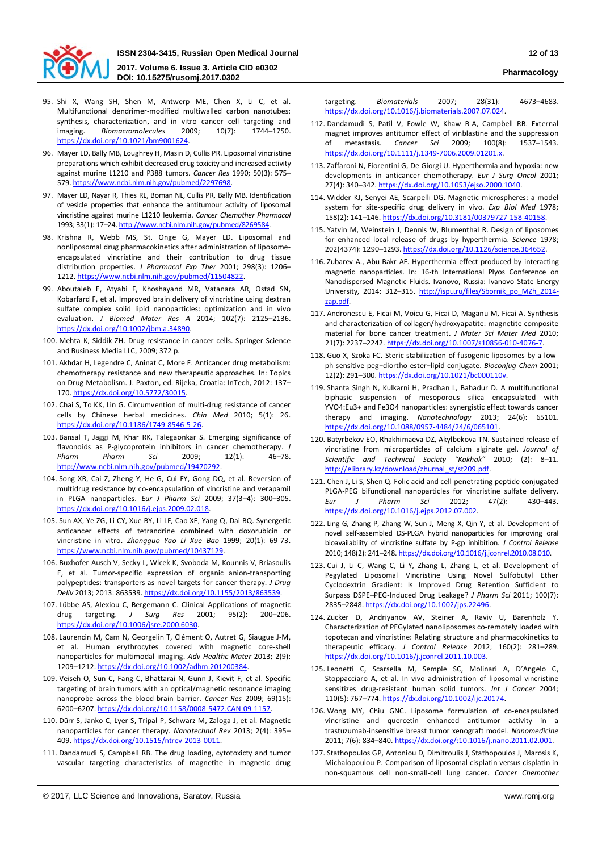

**2017. Volume 6. Issue 3. Article CID e0302 DOI: 10.15275/rusomj.2017.0302 Pharmacology**

- 95. Shi X, Wang SH, Shen M, Antwerp ME, Chen X, Li C, et al. Multifunctional dendrimer-modified multiwalled carbon nanotubes: synthesis, characterization, and in vitro cancer cell targeting and imaging. *Biomacromolecules* 2009; 10(7): 1744–1750. [https://dx.doi.org/10.1021/bm9001624.](https://dx.doi.org/10.1021/bm9001624)
- 96. Mayer LD, Bally MB, Loughrey H, Masin D, Cullis PR. Liposomal vincristine preparations which exhibit decreased drug toxicity and increased activity against murine L1210 and P388 tumors. *Cancer Res* 1990; 50(3): 575– 579[. https://www.ncbi.nlm.nih.gov/pubmed/2297698.](https://www.ncbi.nlm.nih.gov/pubmed/2297698)
- 97. Mayer LD, Nayar R, Thies RL, Boman NL, Cullis PR, Bally MB. Identification of vesicle properties that enhance the antitumour activity of liposomal vincristine against murine L1210 leukemia. *Cancer Chemother Pharmacol* 1993; 33(1): 17–24[. http://www.ncbi.nlm.nih.gov/pubmed/8269584.](http://www.ncbi.nlm.nih.gov/pubmed/8269584)
- 98. Krishna R, Webb MS, St. Onge G, Mayer LD. Liposomal and nonliposomal drug pharmacokinetics after administration of liposomeencapsulated vincristine and their contribution to drug tissue distribution properties. *J Pharmacol Exp Ther* 2001; 298(3): 1206– 1212. [https://www.ncbi.nlm.nih.gov/pubmed/11504822.](https://www.ncbi.nlm.nih.gov/pubmed/11504822)
- 99. Aboutaleb E, Atyabi F, Khoshayand MR, Vatanara AR, Ostad SN, Kobarfard F, et al. Improved brain delivery of vincristine using dextran sulfate complex solid lipid nanoparticles: optimization and in vivo evaluation. *J Biomed Mater Res A* 2014; 102(7): 2125–2136. [https://dx.doi.org/10.1002/jbm.a.34890.](https://dx.doi.org/10.1002/jbm.a.34890)
- 100. Mehta K, Siddik ZH. Drug resistance in cancer cells. Springer Science and Business Media LLC, 2009; 372 p.
- 101. Akhdar H, Legendre C, Aninat C, More F. Anticancer drug metabolism: chemotherapy resistance and new therapeutic approaches. In: Topics on Drug Metabolism. J. Paxton, ed. Rijeka, Croatia: InTech, 2012: 137– 170. [https://dx.doi.org/10.5772/30015.](https://dx.doi.org/10.5772/30015)
- 102. Chai S, To KK, Lin G. Circumvention of multi-drug resistance of cancer cells by Chinese herbal medicines. *Chin Med* 2010; 5(1): 26. [https://dx.doi.org/10.1186/1749-8546-5-26.](https://dx.doi.org/10.1186/1749-8546-5-26)
- 103. Bansal T, Jaggi M, Khar RK, Talegaonkar S. Emerging significance of flavonoids as P-glycoprotein inhibitors in cancer chemotherapy. *J Pharm Pharm Sci* 2009; 12(1): 46–78. [http://www.ncbi.nlm.nih.gov/pubmed/19470292.](http://www.ncbi.nlm.nih.gov/pubmed/19470292)
- 104. Song XR, Cai Z, Zheng Y, He G, Cui FY, Gong DQ, et al. Reversion of multidrug resistance by co-encapsulation of vincristine and verapamil in PLGA nanoparticles. *Eur J Pharm Sci* 2009; 37(3–4): 300–305. [https://dx.doi.org/10.1016/j.ejps.2009.02.018.](https://dx.doi.org/10.1016/j.ejps.2009.02.018)
- 105. Sun AX, Ye ZG, Li CY, Xue BY, Li LF, Cao XF, Yang Q, Dai BQ. Synergetic anticancer effects of tetrandrine combined with doxorubicin or vincristine in vitro. *Zhongguo Yao Li Xue Bao* 1999; 20(1): 69-73. [https://www.ncbi.nlm.nih.gov/pubmed/10437129.](https://www.ncbi.nlm.nih.gov/pubmed/10437129)
- 106. Buxhofer-Ausch V, Secky L, Wlcek K, Svoboda M, Kounnis V, Briasoulis E, et al. Tumor-specific expression of organic anion-transporting polypeptides: transporters as novel targets for cancer therapy. *J Drug Deliv* 2013; 2013: 863539[. https://dx.doi.org/10.1155/2013/863539.](https://dx.doi.org/10.1155/2013/863539)
- 107. Lübbe AS, Alexiou C, Bergemann C. Clinical Applications of magnetic drug targeting. *J Surg Res* 2001; 95(2): 200–206. [https://dx.doi.org/10.1006/jsre.2000.6030.](https://dx.doi.org/10.1006/jsre.2000.6030)
- 108. Laurencin M, Cam N, Georgelin T, Clément O, Autret G, Siaugue J-M, et al. Human erythrocytes covered with magnetic core-shell nanoparticles for multimodal imaging. *Adv Healthc Mater* 2013; 2(9): 1209–1212[. https://dx.doi.org/10.1002/adhm.201200384.](https://dx.doi.org/10.1002/adhm.201200384)
- 109. Veiseh O, Sun C, Fang C, Bhattarai N, Gunn J, Kievit F, et al. Specific targeting of brain tumors with an optical/magnetic resonance imaging nanoprobe across the blood-brain barrier. *Cancer Res* 2009; 69(15): 6200–6207[. https://dx.doi.org/10.1158/0008-5472.CAN-09-1157.](https://dx.doi.org/10.1158/0008-5472.CAN-09-1157)
- 110. Dürr S, Janko C, Lyer S, Tripal P, Schwarz M, Zaloga J, et al. Magnetic nanoparticles for cancer therapy. *Nanotechnol Rev* 2013; 2(4): 395– 409. [https://dx.doi.org/10.1515/ntrev-2013-0011.](https://dx.doi.org/10.1515/ntrev-2013-0011)
- 111. Dandamudi S, Campbell RB. The drug loading, cytotoxicty and tumor vascular targeting characteristics of magnetite in magnetic drug

targeting. *Biomaterials* 2007; 28(31): 4673–4683. [https://dx.doi.org/10.1016/j.biomaterials.2007.07.024.](https://dx.doi.org/10.1016/j.biomaterials.2007.07.024)

- 112. Dandamudi S, Patil V, Fowle W, Khaw B-A, Campbell RB. External magnet improves antitumor effect of vinblastine and the suppression<br>of metastasis. Cancer Sci 2009: 100(8): 1537-1543. of metastasis. *Cancer Sci* 2009; 100(8): 1537–1543. [https://dx.doi.org/10.1111/j.1349-7006.2009.01201.x.](https://dx.doi.org/10.1111/j.1349-7006.2009.01201.x)
- 113. Zaffaroni N, Fiorentini G, De Giorgi U. Hyperthermia and hypoxia: new developments in anticancer chemotherapy. *Eur J Surg Oncol* 2001; 27(4): 340–342. [https://dx.doi.org/10.1053/ejso.2000.1040.](https://dx.doi.org/10.1053/ejso.2000.1040)
- 114. Widder KJ, Senyei AE, Scarpelli DG. Magnetic microspheres: a model system for site-specific drug delivery in vivo. *Exp Biol Med* 1978; 158(2): 141–146. [https://dx.doi.org/10.3181/00379727-158-40158.](https://dx.doi.org/10.3181/00379727-158-40158)
- 115. Yatvin M, Weinstein J, Dennis W, Blumenthal R. Design of liposomes for enhanced local release of drugs by hyperthermia. *Science* 1978; 202(4374): 1290–1293[. https://dx.doi.org/10.1126/science.364652.](https://dx.doi.org/10.1126/science.364652)
- 116. Zubarev A., Abu-Bakr AF. Hyperthermia effect produced by interacting magnetic nanoparticles. In: 16-th International Plyos Conference on Nanodispersed Magnetic Fluids. Ivanovo, Russia: Ivanovo State Energy University, 2014: 312-315. [http://ispu.ru/files/Sbornik\\_po\\_MZh\\_2014](http://ispu.ru/files/Sbornik_po_MZh_2014-zap.pdf) [zap.pdf.](http://ispu.ru/files/Sbornik_po_MZh_2014-zap.pdf)
- 117. Andronescu E, Ficai M, Voicu G, Ficai D, Maganu M, Ficai A. Synthesis and characterization of collagen/hydroxyapatite: magnetite composite material for bone cancer treatment. *J Mater Sci Mater Med* 2010; 21(7): 2237–2242. [https://dx.doi.org/10.1007/s10856-010-4076-7.](https://dx.doi.org/10.1007/s10856-010-4076-7)
- 118. Guo X, Szoka FC. Steric stabilization of fusogenic liposomes by a lowph sensitive peg−diortho ester−lipid conjugate. *Bioconjug Chem* 2001; 12(2): 291–300. [https://dx.doi.org/10.1021/bc000110v.](https://dx.doi.org/10.1021/bc000110v)
- 119. Shanta Singh N, Kulkarni H, Pradhan L, Bahadur D. A multifunctional biphasic suspension of mesoporous silica encapsulated with YVO4:Eu3+ and Fe3O4 nanoparticles: synergistic effect towards cancer therapy and imaging. *Nanotechnology* 2013; 24(6): 65101. [https://dx.doi.org/10.1088/0957-4484/24/6/065101.](https://dx.doi.org/10.1088/0957-4484/24/6/065101)
- 120. Batyrbekov EO, Rhakhimaeva DZ, Akylbekova TN. Sustained release of vincristine from microparticles of calcium alginate gel. *Journal of Scientific and Technical Society "Kakhak"* 2010; (2): 8–11. [http://elibrary.kz/download/zhurnal\\_st/st209.pdf.](http://elibrary.kz/download/zhurnal_st/st209.pdf)
- 121. Chen J, Li S, Shen Q. Folic acid and cell-penetrating peptide conjugated PLGA-PEG bifunctional nanoparticles for vincristine sulfate delivery. *Eur J Pharm Sci* 2012; 47(2): 430–443. [https://dx.doi.org/10.1016/j.ejps.2012.07.002.](https://dx.doi.org/10.1016/j.ejps.2012.07.002)
- 122. Ling G, Zhang P, Zhang W, Sun J, Meng X, Qin Y, et al. Development of novel self-assembled DS-PLGA hybrid nanoparticles for improving oral bioavailability of vincristine sulfate by P-gp inhibition. *J Control Release* 2010; 148(2): 241–248[. https://dx.doi.org/10.1016/j.jconrel.2010.08.010.](https://dx.doi.org/10.1016/j.jconrel.2010.08.010)
- 123. Cui J, Li C, Wang C, Li Y, Zhang L, Zhang L, et al. Development of Pegylated Liposomal Vincristine Using Novel Sulfobutyl Ether Cyclodextrin Gradient: Is Improved Drug Retention Sufficient to Surpass DSPE–PEG-Induced Drug Leakage? *J Pharm Sci* 2011; 100(7): 2835–2848[. https://dx.doi.org/10.1002/jps.22496.](https://dx.doi.org/10.1002/jps.22496)
- 124. Zucker D, Andriyanov AV, Steiner A, Raviv U, Barenholz Y. Characterization of PEGylated nanoliposomes co-remotely loaded with topotecan and vincristine: Relating structure and pharmacokinetics to therapeutic efficacy. *J Control Release* 2012; 160(2): 281–289. [https://dx.doi.org/10.1016/j.jconrel.2011.10.003.](https://dx.doi.org/10.1016/j.jconrel.2011.10.003)
- 125. Leonetti C, Scarsella M, Semple SC, Molinari A, D'Angelo C, Stoppacciaro A, et al. In vivo administration of liposomal vincristine sensitizes drug-resistant human solid tumors. *Int J Cancer* 2004; 110(5): 767–774. [https://dx.doi.org/10.1002/ijc.20174.](https://dx.doi.org/10.1002/ijc.20174)
- 126. Wong MY, Chiu GNC. Liposome formulation of co-encapsulated vincristine and quercetin enhanced antitumor activity in a trastuzumab-insensitive breast tumor xenograft model. *Nanomedicine* 2011; 7(6): 834–840. [https://dx.doi.org/:10.1016/j.nano.2011.02.001.](https://dx.doi.org/:10.1016/j.nano.2011.02.001)
- 127. Stathopoulos GP, Antoniou D, Dimitroulis J, Stathopoulos J, Marosis K, Michalopoulou P. Comparison of liposomal cisplatin versus cisplatin in non-squamous cell non-small-cell lung cancer. *Cancer Chemother*